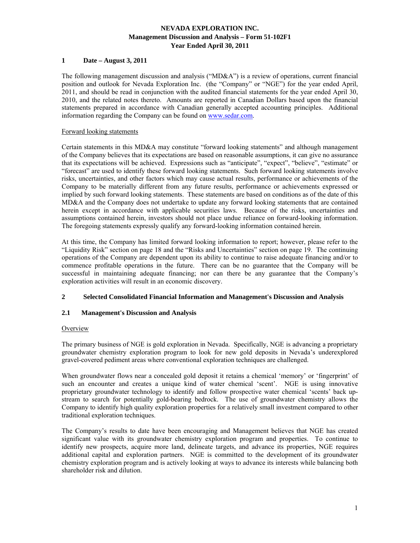# **1 Date – August 3, 2011**

The following management discussion and analysis (" $MD&A$ ") is a review of operations, current financial position and outlook for Nevada Exploration Inc. (the "Company" or "NGE") for the year ended April, 2011, and should be read in conjunction with the audited financial statements for the year ended April 30, 2010, and the related notes thereto. Amounts are reported in Canadian Dollars based upon the financial statements prepared in accordance with Canadian generally accepted accounting principles. Additional information regarding the Company can be found on www.sedar.com.

## Forward looking statements

Certain statements in this MD&A may constitute "forward looking statements" and although management of the Company believes that its expectations are based on reasonable assumptions, it can give no assurance that its expectations will be achieved. Expressions such as "anticipate", "expect", "believe", "estimate" or "forecast" are used to identify these forward looking statements. Such forward looking statements involve risks, uncertainties, and other factors which may cause actual results, performance or achievements of the Company to be materially different from any future results, performance or achievements expressed or implied by such forward looking statements. These statements are based on conditions as of the date of this MD&A and the Company does not undertake to update any forward looking statements that are contained herein except in accordance with applicable securities laws. Because of the risks, uncertainties and assumptions contained herein, investors should not place undue reliance on forward-looking information. The foregoing statements expressly qualify any forward-looking information contained herein.

At this time, the Company has limited forward looking information to report; however, please refer to the "Liquidity Risk" section on page 18 and the "Risks and Uncertainties" section on page 19. The continuing operations of the Company are dependent upon its ability to continue to raise adequate financing and/or to commence profitable operations in the future. There can be no guarantee that the Company will be successful in maintaining adequate financing; nor can there be any guarantee that the Company's exploration activities will result in an economic discovery.

### **2 Selected Consolidated Financial Information and Management's Discussion and Analysis**

# **2.1 Management's Discussion and Analysis**

#### **Overview**

The primary business of NGE is gold exploration in Nevada. Specifically, NGE is advancing a proprietary groundwater chemistry exploration program to look for new gold deposits in Nevada's underexplored gravel-covered pediment areas where conventional exploration techniques are challenged.

When groundwater flows near a concealed gold deposit it retains a chemical 'memory' or 'fingerprint' of such an encounter and creates a unique kind of water chemical 'scent'. NGE is using innovative proprietary groundwater technology to identify and follow prospective water chemical 'scents' back upstream to search for potentially gold-bearing bedrock. The use of groundwater chemistry allows the Company to identify high quality exploration properties for a relatively small investment compared to other traditional exploration techniques.

The Company's results to date have been encouraging and Management believes that NGE has created significant value with its groundwater chemistry exploration program and properties. To continue to identify new prospects, acquire more land, delineate targets, and advance its properties, NGE requires additional capital and exploration partners. NGE is committed to the development of its groundwater chemistry exploration program and is actively looking at ways to advance its interests while balancing both shareholder risk and dilution.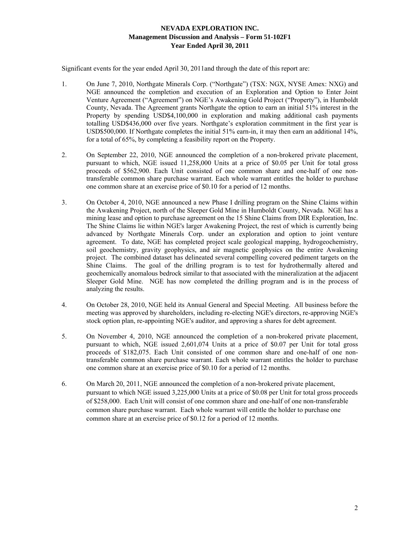Significant events for the year ended April 30, 2011and through the date of this report are:

- 1. On June 7, 2010, Northgate Minerals Corp. ("Northgate") (TSX: NGX, NYSE Amex: NXG) and NGE announced the completion and execution of an Exploration and Option to Enter Joint Venture Agreement ("Agreement") on NGE's Awakening Gold Project ("Property"), in Humboldt County, Nevada. The Agreement grants Northgate the option to earn an initial 51% interest in the Property by spending USD\$4,100,000 in exploration and making additional cash payments totalling USD\$436,000 over five years. Northgate's exploration commitment in the first year is USD\$500,000. If Northgate completes the initial 51% earn-in, it may then earn an additional 14%, for a total of 65%, by completing a feasibility report on the Property.
- 2. On September 22, 2010, NGE announced the completion of a non-brokered private placement, pursuant to which, NGE issued 11,258,000 Units at a price of \$0.05 per Unit for total gross proceeds of \$562,900. Each Unit consisted of one common share and one-half of one nontransferable common share purchase warrant. Each whole warrant entitles the holder to purchase one common share at an exercise price of \$0.10 for a period of 12 months.
- 3. On October 4, 2010, NGE announced a new Phase I drilling program on the Shine Claims within the Awakening Project, north of the Sleeper Gold Mine in Humboldt County, Nevada. NGE has a mining lease and option to purchase agreement on the 15 Shine Claims from DIR Exploration, Inc. The Shine Claims lie within NGE's larger Awakening Project, the rest of which is currently being advanced by Northgate Minerals Corp. under an exploration and option to joint venture agreement. To date, NGE has completed project scale geological mapping, hydrogeochemistry, soil geochemistry, gravity geophysics, and air magnetic geophysics on the entire Awakening project. The combined dataset has delineated several compelling covered pediment targets on the Shine Claims. The goal of the drilling program is to test for hydrothermally altered and geochemically anomalous bedrock similar to that associated with the mineralization at the adjacent Sleeper Gold Mine. NGE has now completed the drilling program and is in the process of analyzing the results.
- 4. On October 28, 2010, NGE held its Annual General and Special Meeting. All business before the meeting was approved by shareholders, including re-electing NGE's directors, re-approving NGE's stock option plan, re-appointing NGE's auditor, and approving a shares for debt agreement.
- 5. On November 4, 2010, NGE announced the completion of a non-brokered private placement, pursuant to which, NGE issued 2,601,074 Units at a price of \$0.07 per Unit for total gross proceeds of \$182,075. Each Unit consisted of one common share and one-half of one nontransferable common share purchase warrant. Each whole warrant entitles the holder to purchase one common share at an exercise price of \$0.10 for a period of 12 months.
- 6. On March 20, 2011, NGE announced the completion of a non-brokered private placement, pursuant to which NGE issued 3,225,000 Units at a price of \$0.08 per Unit for total gross proceeds of \$258,000. Each Unit will consist of one common share and one-half of one non-transferable common share purchase warrant. Each whole warrant will entitle the holder to purchase one common share at an exercise price of \$0.12 for a period of 12 months.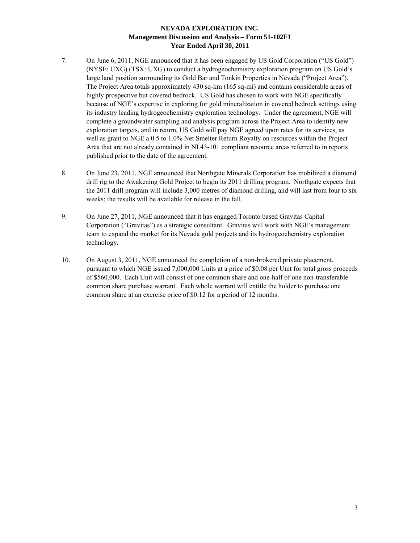- 7. On June 6, 2011, NGE announced that it has been engaged by US Gold Corporation ("US Gold") (NYSE: UXG) (TSX: UXG) to conduct a hydrogeochemistry exploration program on US Gold's large land position surrounding its Gold Bar and Tonkin Properties in Nevada ("Project Area"). The Project Area totals approximately 430 sq-km (165 sq-mi) and contains considerable areas of highly prospective but covered bedrock. US Gold has chosen to work with NGE specifically because of NGE's expertise in exploring for gold mineralization in covered bedrock settings using its industry leading hydrogeochemistry exploration technology. Under the agreement, NGE will complete a groundwater sampling and analysis program across the Project Area to identify new exploration targets, and in return, US Gold will pay NGE agreed upon rates for its services, as well as grant to NGE a 0.5 to 1.0% Net Smelter Return Royalty on resources within the Project Area that are not already contained in NI 43-101 compliant resource areas referred to in reports published prior to the date of the agreement.
- 8. On June 23, 2011, NGE announced that Northgate Minerals Corporation has mobilized a diamond drill rig to the Awakening Gold Project to begin its 2011 drilling program. Northgate expects that the 2011 drill program will include 3,000 metres of diamond drilling, and will last from four to six weeks; the results will be available for release in the fall.
- 9. On June 27, 2011, NGE announced that it has engaged Toronto based Gravitas Capital Corporation ("Gravitas") as a strategic consultant. Gravitas will work with NGE's management team to expand the market for its Nevada gold projects and its hydrogeochemistry exploration technology.
- 10. On August 3, 2011, NGE announced the completion of a non-brokered private placement, pursuant to which NGE issued 7,000,000 Units at a price of \$0.08 per Unit for total gross proceeds of \$560,000. Each Unit will consist of one common share and one-half of one non-transferable common share purchase warrant. Each whole warrant will entitle the holder to purchase one common share at an exercise price of \$0.12 for a period of 12 months.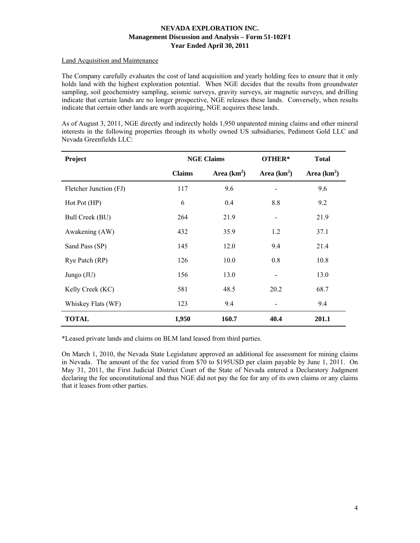# Land Acquisition and Maintenance

The Company carefully evaluates the cost of land acquisition and yearly holding fees to ensure that it only holds land with the highest exploration potential. When NGE decides that the results from groundwater sampling, soil geochemistry sampling, seismic surveys, gravity surveys, air magnetic surveys, and drilling indicate that certain lands are no longer prospective, NGE releases these lands. Conversely, when results indicate that certain other lands are worth acquiring, NGE acquires these lands.

As of August 3, 2011, NGE directly and indirectly holds 1,950 unpatented mining claims and other mineral interests in the following properties through its wholly owned US subsidiaries, Pediment Gold LLC and Nevada Greenfields LLC:

| Project                | <b>NGE Claims</b> |               | OTHER*         | <b>Total</b> |
|------------------------|-------------------|---------------|----------------|--------------|
|                        | <b>Claims</b>     | Area $(km^2)$ | Area $(km2)$   | Area $(km2)$ |
| Fletcher Junction (FJ) | 117               | 9.6           |                | 9.6          |
| Hot Pot (HP)           | 6                 | 0.4           | 8.8            | 9.2          |
| Bull Creek (BU)        | 264               | 21.9          | $\overline{a}$ | 21.9         |
| Awakening (AW)         | 432               | 35.9          | 1.2            | 37.1         |
| Sand Pass (SP)         | 145               | 12.0          | 9.4            | 21.4         |
| Rye Patch (RP)         | 126               | 10.0          | 0.8            | 10.8         |
| Jungo $(JU)$           | 156               | 13.0          |                | 13.0         |
| Kelly Creek (KC)       | 581               | 48.5          | 20.2           | 68.7         |
| Whiskey Flats (WF)     | 123               | 9.4           |                | 9.4          |
| <b>TOTAL</b>           | 1,950             | 160.7         | 40.4           | 201.1        |

\*Leased private lands and claims on BLM land leased from third parties.

On March 1, 2010, the Nevada State Legislature approved an additional fee assessment for mining claims in Nevada. The amount of the fee varied from \$70 to \$195USD per claim payable by June 1, 2011. On May 31, 2011, the First Judicial District Court of the State of Nevada entered a Declaratory Judgment declaring the fee unconstitutional and thus NGE did not pay the fee for any of its own claims or any claims that it leases from other parties.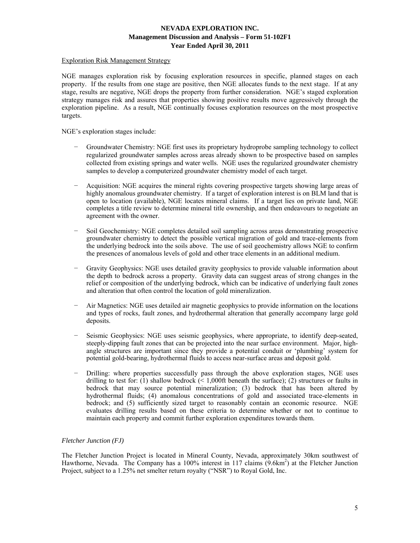# Exploration Risk Management Strategy

NGE manages exploration risk by focusing exploration resources in specific, planned stages on each property. If the results from one stage are positive, then NGE allocates funds to the next stage. If at any stage, results are negative, NGE drops the property from further consideration. NGE's staged exploration strategy manages risk and assures that properties showing positive results move aggressively through the exploration pipeline. As a result, NGE continually focuses exploration resources on the most prospective targets.

NGE's exploration stages include:

- − Groundwater Chemistry: NGE first uses its proprietary hydroprobe sampling technology to collect regularized groundwater samples across areas already shown to be prospective based on samples collected from existing springs and water wells. NGE uses the regularized groundwater chemistry samples to develop a computerized groundwater chemistry model of each target.
- − Acquisition: NGE acquires the mineral rights covering prospective targets showing large areas of highly anomalous groundwater chemistry. If a target of exploration interest is on BLM land that is open to location (available), NGE locates mineral claims. If a target lies on private land, NGE completes a title review to determine mineral title ownership, and then endeavours to negotiate an agreement with the owner.
- Soil Geochemistry: NGE completes detailed soil sampling across areas demonstrating prospective groundwater chemistry to detect the possible vertical migration of gold and trace-elements from the underlying bedrock into the soils above. The use of soil geochemistry allows NGE to confirm the presences of anomalous levels of gold and other trace elements in an additional medium.
- Gravity Geophysics: NGE uses detailed gravity geophysics to provide valuable information about the depth to bedrock across a property. Gravity data can suggest areas of strong changes in the relief or composition of the underlying bedrock, which can be indicative of underlying fault zones and alteration that often control the location of gold mineralization.
- − Air Magnetics: NGE uses detailed air magnetic geophysics to provide information on the locations and types of rocks, fault zones, and hydrothermal alteration that generally accompany large gold deposits.
- Seismic Geophysics: NGE uses seismic geophysics, where appropriate, to identify deep-seated, steeply-dipping fault zones that can be projected into the near surface environment. Major, highangle structures are important since they provide a potential conduit or 'plumbing' system for potential gold-bearing, hydrothermal fluids to access near-surface areas and deposit gold.
- Drilling: where properties successfully pass through the above exploration stages, NGE uses drilling to test for: (1) shallow bedrock ( $\leq 1,000$ ft beneath the surface); (2) structures or faults in bedrock that may source potential mineralization; (3) bedrock that has been altered by hydrothermal fluids; (4) anomalous concentrations of gold and associated trace-elements in bedrock; and (5) sufficiently sized target to reasonably contain an economic resource. NGE evaluates drilling results based on these criteria to determine whether or not to continue to maintain each property and commit further exploration expenditures towards them.

# *Fletcher Junction (FJ)*

The Fletcher Junction Project is located in Mineral County, Nevada, approximately 30km southwest of Hawthorne, Nevada. The Company has a 100% interest in 117 claims (9.6km<sup>2</sup>) at the Fletcher Junction Project, subject to a 1.25% net smelter return royalty ("NSR") to Royal Gold, Inc.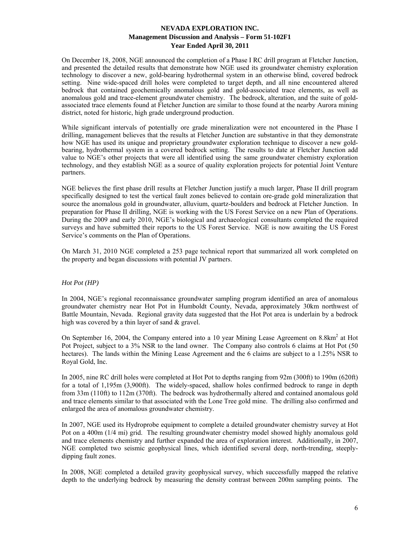On December 18, 2008, NGE announced the completion of a Phase I RC drill program at Fletcher Junction, and presented the detailed results that demonstrate how NGE used its groundwater chemistry exploration technology to discover a new, gold-bearing hydrothermal system in an otherwise blind, covered bedrock setting. Nine wide-spaced drill holes were completed to target depth, and all nine encountered altered bedrock that contained geochemically anomalous gold and gold-associated trace elements, as well as anomalous gold and trace-element groundwater chemistry. The bedrock, alteration, and the suite of goldassociated trace elements found at Fletcher Junction are similar to those found at the nearby Aurora mining district, noted for historic, high grade underground production.

While significant intervals of potentially ore grade mineralization were not encountered in the Phase I drilling, management believes that the results at Fletcher Junction are substantive in that they demonstrate how NGE has used its unique and proprietary groundwater exploration technique to discover a new goldbearing, hydrothermal system in a covered bedrock setting. The results to date at Fletcher Junction add value to NGE's other projects that were all identified using the same groundwater chemistry exploration technology, and they establish NGE as a source of quality exploration projects for potential Joint Venture partners.

NGE believes the first phase drill results at Fletcher Junction justify a much larger, Phase II drill program specifically designed to test the vertical fault zones believed to contain ore-grade gold mineralization that source the anomalous gold in groundwater, alluvium, quartz-boulders and bedrock at Fletcher Junction. In preparation for Phase II drilling, NGE is working with the US Forest Service on a new Plan of Operations. During the 2009 and early 2010, NGE's biological and archaeological consultants completed the required surveys and have submitted their reports to the US Forest Service. NGE is now awaiting the US Forest Service's comments on the Plan of Operations.

On March 31, 2010 NGE completed a 253 page technical report that summarized all work completed on the property and began discussions with potential JV partners.

# *Hot Pot (HP)*

In 2004, NGE's regional reconnaissance groundwater sampling program identified an area of anomalous groundwater chemistry near Hot Pot in Humboldt County, Nevada, approximately 30km northwest of Battle Mountain, Nevada. Regional gravity data suggested that the Hot Pot area is underlain by a bedrock high was covered by a thin layer of sand & gravel.

On September 16, 2004, the Company entered into a 10 year Mining Lease Agreement on 8.8km<sup>2</sup> at Hot Pot Project, subject to a 3% NSR to the land owner. The Company also controls 6 claims at Hot Pot (50 hectares). The lands within the Mining Lease Agreement and the 6 claims are subject to a 1.25% NSR to Royal Gold, Inc.

In 2005, nine RC drill holes were completed at Hot Pot to depths ranging from 92m (300ft) to 190m (620ft) for a total of 1,195m (3,900ft). The widely-spaced, shallow holes confirmed bedrock to range in depth from 33m (110ft) to 112m (370ft). The bedrock was hydrothermally altered and contained anomalous gold and trace elements similar to that associated with the Lone Tree gold mine. The drilling also confirmed and enlarged the area of anomalous groundwater chemistry.

In 2007, NGE used its Hydroprobe equipment to complete a detailed groundwater chemistry survey at Hot Pot on a 400m (1/4 mi) grid. The resulting groundwater chemistry model showed highly anomalous gold and trace elements chemistry and further expanded the area of exploration interest. Additionally, in 2007, NGE completed two seismic geophysical lines, which identified several deep, north-trending, steeplydipping fault zones.

In 2008, NGE completed a detailed gravity geophysical survey, which successfully mapped the relative depth to the underlying bedrock by measuring the density contrast between 200m sampling points. The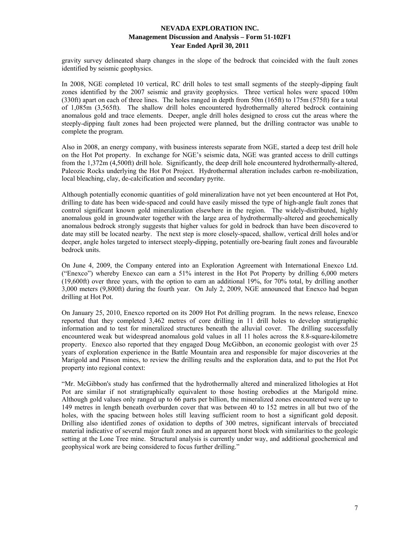gravity survey delineated sharp changes in the slope of the bedrock that coincided with the fault zones identified by seismic geophysics.

In 2008, NGE completed 10 vertical, RC drill holes to test small segments of the steeply-dipping fault zones identified by the 2007 seismic and gravity geophysics. Three vertical holes were spaced 100m (330ft) apart on each of three lines. The holes ranged in depth from 50m (165ft) to 175m (575ft) for a total of 1,085m (3,565ft). The shallow drill holes encountered hydrothermally altered bedrock containing anomalous gold and trace elements. Deeper, angle drill holes designed to cross cut the areas where the steeply-dipping fault zones had been projected were planned, but the drilling contractor was unable to complete the program.

Also in 2008, an energy company, with business interests separate from NGE, started a deep test drill hole on the Hot Pot property. In exchange for NGE's seismic data, NGE was granted access to drill cuttings from the 1,372m (4,500ft) drill hole. Significantly, the deep drill hole encountered hydrothermally-altered, Paleozic Rocks underlying the Hot Pot Project. Hydrothermal alteration includes carbon re-mobilization, local bleaching, clay, de-calcification and secondary pyrite.

Although potentially economic quantities of gold mineralization have not yet been encountered at Hot Pot, drilling to date has been wide-spaced and could have easily missed the type of high-angle fault zones that control significant known gold mineralization elsewhere in the region. The widely-distributed, highly anomalous gold in groundwater together with the large area of hydrothermally-altered and geochemically anomalous bedrock strongly suggests that higher values for gold in bedrock than have been discovered to date may still be located nearby. The next step is more closely-spaced, shallow, vertical drill holes and/or deeper, angle holes targeted to intersect steeply-dipping, potentially ore-bearing fault zones and favourable bedrock units.

On June 4, 2009, the Company entered into an Exploration Agreement with International Enexco Ltd. ("Enexco") whereby Enexco can earn a 51% interest in the Hot Pot Property by drilling 6,000 meters (19,600ft) over three years, with the option to earn an additional 19%, for 70% total, by drilling another 3,000 meters (9,800ft) during the fourth year. On July 2, 2009, NGE announced that Enexco had begun drilling at Hot Pot.

On January 25, 2010, Enexco reported on its 2009 Hot Pot drilling program. In the news release, Enexco reported that they completed 3,462 metres of core drilling in 11 drill holes to develop stratigraphic information and to test for mineralized structures beneath the alluvial cover. The drilling successfully encountered weak but widespread anomalous gold values in all 11 holes across the 8.8-square-kilometre property. Enexco also reported that they engaged Doug McGibbon, an economic geologist with over 25 years of exploration experience in the Battle Mountain area and responsible for major discoveries at the Marigold and Pinson mines, to review the drilling results and the exploration data, and to put the Hot Pot property into regional context:

"Mr. McGibbon's study has confirmed that the hydrothermally altered and mineralized lithologies at Hot Pot are similar if not stratigraphically equivalent to those hosting orebodies at the Marigold mine. Although gold values only ranged up to 66 parts per billion, the mineralized zones encountered were up to 149 metres in length beneath overburden cover that was between 40 to 152 metres in all but two of the holes, with the spacing between holes still leaving sufficient room to host a significant gold deposit. Drilling also identified zones of oxidation to depths of 300 metres, significant intervals of brecciated material indicative of several major fault zones and an apparent horst block with similarities to the geologic setting at the Lone Tree mine. Structural analysis is currently under way, and additional geochemical and geophysical work are being considered to focus further drilling."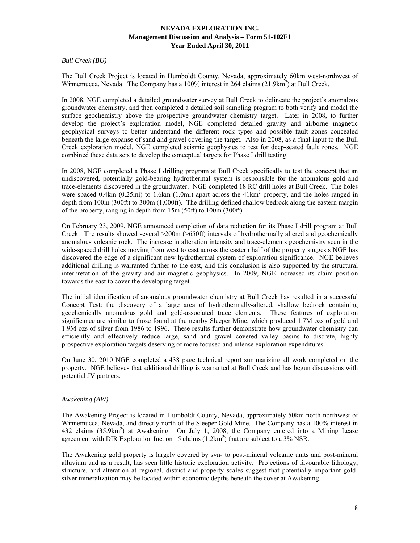*Bull Creek (BU)* 

The Bull Creek Project is located in Humboldt County, Nevada, approximately 60km west-northwest of Winnemucca, Nevada. The Company has a 100% interest in 264 claims (21.9km<sup>2</sup>) at Bull Creek.

In 2008, NGE completed a detailed groundwater survey at Bull Creek to delineate the project's anomalous groundwater chemistry, and then completed a detailed soil sampling program to both verify and model the surface geochemistry above the prospective groundwater chemistry target. Later in 2008, to further develop the project's exploration model, NGE completed detailed gravity and airborne magnetic geophysical surveys to better understand the different rock types and possible fault zones concealed beneath the large expanse of sand and gravel covering the target. Also in 2008, as a final input to the Bull Creek exploration model, NGE completed seismic geophysics to test for deep-seated fault zones. NGE combined these data sets to develop the conceptual targets for Phase I drill testing.

In 2008, NGE completed a Phase I drilling program at Bull Creek specifically to test the concept that an undiscovered, potentially gold-bearing hydrothermal system is responsible for the anomalous gold and trace-elements discovered in the groundwater. NGE completed 18 RC drill holes at Bull Creek. The holes were spaced 0.4km (0.25mi) to 1.6km (1.0mi) apart across the 41km<sup>2</sup> property, and the holes ranged in depth from 100m (300ft) to 300m (1,000ft). The drilling defined shallow bedrock along the eastern margin of the property, ranging in depth from 15m (50ft) to 100m (300ft).

On February 23, 2009, NGE announced completion of data reduction for its Phase I drill program at Bull Creek. The results showed several >200m (>650ft) intervals of hydrothermally altered and geochemically anomalous volcanic rock. The increase in alteration intensity and trace-elements geochemistry seen in the wide-spaced drill holes moving from west to east across the eastern half of the property suggests NGE has discovered the edge of a significant new hydrothermal system of exploration significance. NGE believes additional drilling is warranted farther to the east, and this conclusion is also supported by the structural interpretation of the gravity and air magnetic geophysics. In 2009, NGE increased its claim position towards the east to cover the developing target.

The initial identification of anomalous groundwater chemistry at Bull Creek has resulted in a successful Concept Test: the discovery of a large area of hydrothermally-altered, shallow bedrock containing geochemically anomalous gold and gold-associated trace elements. These features of exploration significance are similar to those found at the nearby Sleeper Mine, which produced 1.7M ozs of gold and 1.9M ozs of silver from 1986 to 1996. These results further demonstrate how groundwater chemistry can efficiently and effectively reduce large, sand and gravel covered valley basins to discrete, highly prospective exploration targets deserving of more focused and intense exploration expenditures.

On June 30, 2010 NGE completed a 438 page technical report summarizing all work completed on the property. NGE believes that additional drilling is warranted at Bull Creek and has begun discussions with potential JV partners.

### *Awakening (AW)*

The Awakening Project is located in Humboldt County, Nevada, approximately 50km north-northwest of Winnemucca, Nevada, and directly north of the Sleeper Gold Mine. The Company has a 100% interest in 432 claims (35.9km<sup>2</sup>) at Awakening. On July 1, 2008, the Company entered into a Mining Lease agreement with DIR Exploration Inc. on 15 claims  $(1.2 \text{km}^2)$  that are subject to a 3% NSR.

The Awakening gold property is largely covered by syn- to post-mineral volcanic units and post-mineral alluvium and as a result, has seen little historic exploration activity. Projections of favourable lithology, structure, and alteration at regional, district and property scales suggest that potentially important goldsilver mineralization may be located within economic depths beneath the cover at Awakening.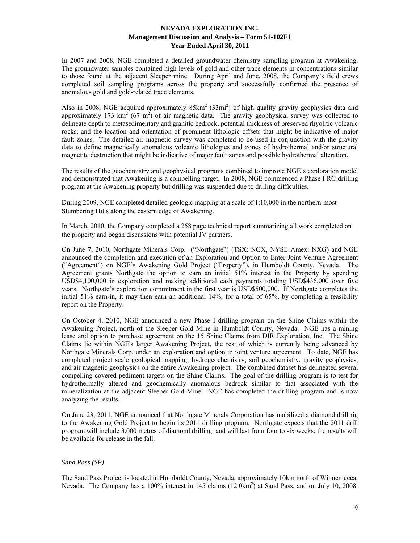In 2007 and 2008, NGE completed a detailed groundwater chemistry sampling program at Awakening. The groundwater samples contained high levels of gold and other trace elements in concentrations similar to those found at the adjacent Sleeper mine. During April and June, 2008, the Company's field crews completed soil sampling programs across the property and successfully confirmed the presence of anomalous gold and gold-related trace elements.

Also in 2008, NGE acquired approximately  $85 \text{km}^2$  (33mi<sup>2</sup>) of high quality gravity geophysics data and approximately 173  $\text{km}^2$  (67 m<sup>2</sup>) of air magnetic data. The gravity geophysical survey was collected to delineate depth to metasedimentary and granitic bedrock, potential thickness of preserved rhyolitic volcanic rocks, and the location and orientation of prominent lithologic offsets that might be indicative of major fault zones. The detailed air magnetic survey was completed to be used in conjunction with the gravity data to define magnetically anomalous volcanic lithologies and zones of hydrothermal and/or structural magnetite destruction that might be indicative of major fault zones and possible hydrothermal alteration.

The results of the geochemistry and geophysical programs combined to improve NGE's exploration model and demonstrated that Awakening is a compelling target. In 2008, NGE commenced a Phase I RC drilling program at the Awakening property but drilling was suspended due to drilling difficulties.

During 2009, NGE completed detailed geologic mapping at a scale of 1:10,000 in the northern-most Slumbering Hills along the eastern edge of Awakening.

In March, 2010, the Company completed a 258 page technical report summarizing all work completed on the property and began discussions with potential JV partners.

On June 7, 2010, Northgate Minerals Corp. ("Northgate") (TSX: NGX, NYSE Amex: NXG) and NGE announced the completion and execution of an Exploration and Option to Enter Joint Venture Agreement ("Agreement") on NGE's Awakening Gold Project ("Property"), in Humboldt County, Nevada. The Agreement grants Northgate the option to earn an initial 51% interest in the Property by spending USD\$4,100,000 in exploration and making additional cash payments totaling USD\$436,000 over five years. Northgate's exploration commitment in the first year is USD\$500,000. If Northgate completes the initial 51% earn-in, it may then earn an additional 14%, for a total of 65%, by completing a feasibility report on the Property.

On October 4, 2010, NGE announced a new Phase I drilling program on the Shine Claims within the Awakening Project, north of the Sleeper Gold Mine in Humboldt County, Nevada. NGE has a mining lease and option to purchase agreement on the 15 Shine Claims from DIR Exploration, Inc. The Shine Claims lie within NGE's larger Awakening Project, the rest of which is currently being advanced by Northgate Minerals Corp. under an exploration and option to joint venture agreement. To date, NGE has completed project scale geological mapping, hydrogeochemistry, soil geochemistry, gravity geophysics, and air magnetic geophysics on the entire Awakening project. The combined dataset has delineated several compelling covered pediment targets on the Shine Claims. The goal of the drilling program is to test for hydrothermally altered and geochemically anomalous bedrock similar to that associated with the mineralization at the adjacent Sleeper Gold Mine. NGE has completed the drilling program and is now analyzing the results.

On June 23, 2011, NGE announced that Northgate Minerals Corporation has mobilized a diamond drill rig to the Awakening Gold Project to begin its 2011 drilling program. Northgate expects that the 2011 drill program will include 3,000 metres of diamond drilling, and will last from four to six weeks; the results will be available for release in the fall.

# *Sand Pass (SP)*

The Sand Pass Project is located in Humboldt County, Nevada, approximately 10km north of Winnemucca, Nevada. The Company has a 100% interest in 145 claims (12.0km<sup>2</sup>) at Sand Pass, and on July 10, 2008,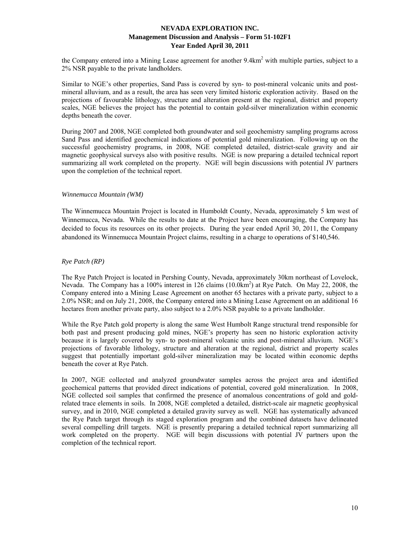the Company entered into a Mining Lease agreement for another 9.4km<sup>2</sup> with multiple parties, subject to a 2% NSR payable to the private landholders.

Similar to NGE's other properties, Sand Pass is covered by syn- to post-mineral volcanic units and postmineral alluvium, and as a result, the area has seen very limited historic exploration activity. Based on the projections of favourable lithology, structure and alteration present at the regional, district and property scales, NGE believes the project has the potential to contain gold-silver mineralization within economic depths beneath the cover.

During 2007 and 2008, NGE completed both groundwater and soil geochemistry sampling programs across Sand Pass and identified geochemical indications of potential gold mineralization. Following up on the successful geochemistry programs, in 2008, NGE completed detailed, district-scale gravity and air magnetic geophysical surveys also with positive results. NGE is now preparing a detailed technical report summarizing all work completed on the property. NGE will begin discussions with potential JV partners upon the completion of the technical report.

## *Winnemucca Mountain (WM)*

The Winnemucca Mountain Project is located in Humboldt County, Nevada, approximately 5 km west of Winnemucca, Nevada. While the results to date at the Project have been encouraging, the Company has decided to focus its resources on its other projects. During the year ended April 30, 2011, the Company abandoned its Winnemucca Mountain Project claims, resulting in a charge to operations of \$140,546.

## *Rye Patch (RP)*

The Rye Patch Project is located in Pershing County, Nevada, approximately 30km northeast of Lovelock, Nevada. The Company has a 100% interest in 126 claims (10.0km<sup>2</sup>) at Rye Patch. On May 22, 2008, the Company entered into a Mining Lease Agreement on another 65 hectares with a private party, subject to a 2.0% NSR; and on July 21, 2008, the Company entered into a Mining Lease Agreement on an additional 16 hectares from another private party, also subject to a 2.0% NSR payable to a private landholder.

While the Rye Patch gold property is along the same West Humbolt Range structural trend responsible for both past and present producing gold mines, NGE's property has seen no historic exploration activity because it is largely covered by syn- to post-mineral volcanic units and post-mineral alluvium. NGE's projections of favorable lithology, structure and alteration at the regional, district and property scales suggest that potentially important gold-silver mineralization may be located within economic depths beneath the cover at Rye Patch.

In 2007, NGE collected and analyzed groundwater samples across the project area and identified geochemical patterns that provided direct indications of potential, covered gold mineralization. In 2008, NGE collected soil samples that confirmed the presence of anomalous concentrations of gold and goldrelated trace elements in soils. In 2008, NGE completed a detailed, district-scale air magnetic geophysical survey, and in 2010, NGE completed a detailed gravity survey as well. NGE has systematically advanced the Rye Patch target through its staged exploration program and the combined datasets have delineated several compelling drill targets. NGE is presently preparing a detailed technical report summarizing all work completed on the property. NGE will begin discussions with potential JV partners upon the completion of the technical report.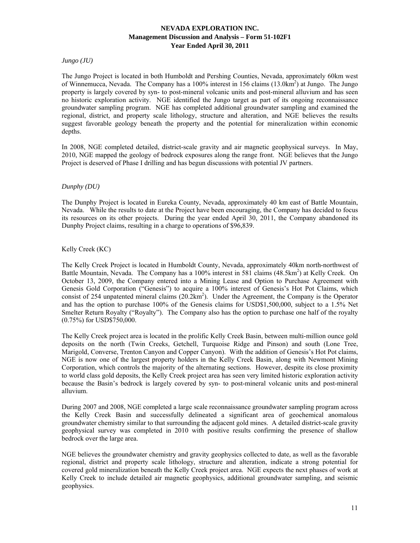*Jungo (JU)* 

The Jungo Project is located in both Humboldt and Pershing Counties, Nevada, approximately 60km west of Winnemucca, Nevada. The Company has a 100% interest in 156 claims (13.0km<sup>2</sup>) at Jungo. The Jungo property is largely covered by syn- to post-mineral volcanic units and post-mineral alluvium and has seen no historic exploration activity. NGE identified the Jungo target as part of its ongoing reconnaissance groundwater sampling program. NGE has completed additional groundwater sampling and examined the regional, district, and property scale lithology, structure and alteration, and NGE believes the results suggest favorable geology beneath the property and the potential for mineralization within economic depths.

In 2008, NGE completed detailed, district-scale gravity and air magnetic geophysical surveys. In May, 2010, NGE mapped the geology of bedrock exposures along the range front. NGE believes that the Jungo Project is deserved of Phase I drilling and has begun discussions with potential JV partners.

# *Dunphy (DU)*

The Dunphy Project is located in Eureka County, Nevada, approximately 40 km east of Battle Mountain, Nevada. While the results to date at the Project have been encouraging, the Company has decided to focus its resources on its other projects. During the year ended April 30, 2011, the Company abandoned its Dunphy Project claims, resulting in a charge to operations of \$96,839.

## Kelly Creek (KC)

The Kelly Creek Project is located in Humboldt County, Nevada, approximately 40km north-northwest of Battle Mountain, Nevada. The Company has a 100% interest in 581 claims (48.5km<sup>2</sup>) at Kelly Creek. On October 13, 2009, the Company entered into a Mining Lease and Option to Purchase Agreement with Genesis Gold Corporation ("Genesis") to acquire a 100% interest of Genesis's Hot Pot Claims, which consist of 254 unpatented mineral claims  $(20.2 \text{km}^2)$ . Under the Agreement, the Company is the Operator and has the option to purchase 100% of the Genesis claims for USD\$1,500,000, subject to a 1.5% Net Smelter Return Royalty ("Royalty"). The Company also has the option to purchase one half of the royalty (0.75%) for USD\$750,000.

The Kelly Creek project area is located in the prolific Kelly Creek Basin, between multi-million ounce gold deposits on the north (Twin Creeks, Getchell, Turquoise Ridge and Pinson) and south (Lone Tree, Marigold, Converse, Trenton Canyon and Copper Canyon). With the addition of Genesis's Hot Pot claims, NGE is now one of the largest property holders in the Kelly Creek Basin, along with Newmont Mining Corporation, which controls the majority of the alternating sections. However, despite its close proximity to world class gold deposits, the Kelly Creek project area has seen very limited historic exploration activity because the Basin's bedrock is largely covered by syn- to post-mineral volcanic units and post-mineral alluvium.

During 2007 and 2008, NGE completed a large scale reconnaissance groundwater sampling program across the Kelly Creek Basin and successfully delineated a significant area of geochemical anomalous groundwater chemistry similar to that surrounding the adjacent gold mines. A detailed district-scale gravity geophysical survey was completed in 2010 with positive results confirming the presence of shallow bedrock over the large area.

NGE believes the groundwater chemistry and gravity geophysics collected to date, as well as the favorable regional, district and property scale lithology, structure and alteration, indicate a strong potential for covered gold mineralization beneath the Kelly Creek project area. NGE expects the next phases of work at Kelly Creek to include detailed air magnetic geophysics, additional groundwater sampling, and seismic geophysics.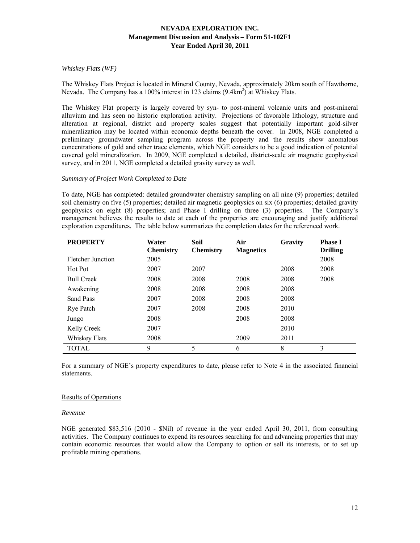# *Whiskey Flats (WF)*

The Whiskey Flats Project is located in Mineral County, Nevada, approximately 20km south of Hawthorne, Nevada. The Company has a 100% interest in 123 claims (9.4km<sup>2</sup>) at Whiskey Flats.

The Whiskey Flat property is largely covered by syn- to post-mineral volcanic units and post-mineral alluvium and has seen no historic exploration activity. Projections of favorable lithology, structure and alteration at regional, district and property scales suggest that potentially important gold-silver mineralization may be located within economic depths beneath the cover. In 2008, NGE completed a preliminary groundwater sampling program across the property and the results show anomalous concentrations of gold and other trace elements, which NGE considers to be a good indication of potential covered gold mineralization. In 2009, NGE completed a detailed, district-scale air magnetic geophysical survey, and in 2011, NGE completed a detailed gravity survey as well.

#### *Summary of Project Work Completed to Date*

To date, NGE has completed: detailed groundwater chemistry sampling on all nine (9) properties; detailed soil chemistry on five (5) properties; detailed air magnetic geophysics on six (6) properties; detailed gravity geophysics on eight (8) properties; and Phase I drilling on three (3) properties. The Company's management believes the results to date at each of the properties are encouraging and justify additional exploration expenditures. The table below summarizes the completion dates for the referenced work.

| <b>PROPERTY</b>   | Water            | <b>Soil</b>      | Air              | Gravity | <b>Phase I</b>  |
|-------------------|------------------|------------------|------------------|---------|-----------------|
|                   | <b>Chemistry</b> | <b>Chemistry</b> | <b>Magnetics</b> |         | <b>Drilling</b> |
| Fletcher Junction | 2005             |                  |                  |         | 2008            |
| Hot Pot           | 2007             | 2007             |                  | 2008    | 2008            |
| <b>Bull Creek</b> | 2008             | 2008             | 2008             | 2008    | 2008            |
| Awakening         | 2008             | 2008             | 2008             | 2008    |                 |
| Sand Pass         | 2007             | 2008             | 2008             | 2008    |                 |
| Rye Patch         | 2007             | 2008             | 2008             | 2010    |                 |
| Jungo             | 2008             |                  | 2008             | 2008    |                 |
| Kelly Creek       | 2007             |                  |                  | 2010    |                 |
| Whiskey Flats     | 2008             |                  | 2009             | 2011    |                 |
| <b>TOTAL</b>      | 9                | 5                | 6                | 8       | 3               |

For a summary of NGE's property expenditures to date, please refer to Note 4 in the associated financial statements.

### Results of Operations

#### *Revenue*

NGE generated \$83,516 (2010 - \$Nil) of revenue in the year ended April 30, 2011, from consulting activities. The Company continues to expend its resources searching for and advancing properties that may contain economic resources that would allow the Company to option or sell its interests, or to set up profitable mining operations.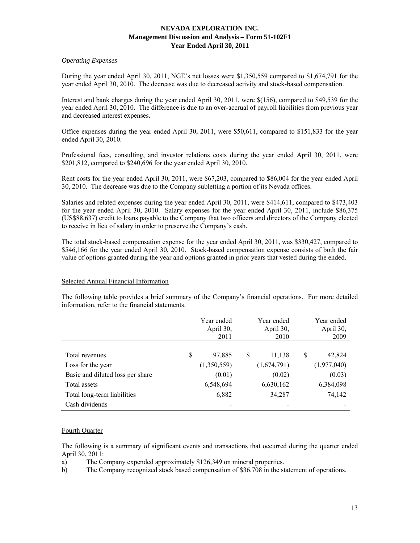# *Operating Expenses*

During the year ended April 30, 2011, NGE's net losses were \$1,350,559 compared to \$1,674,791 for the year ended April 30, 2010. The decrease was due to decreased activity and stock-based compensation.

Interest and bank charges during the year ended April 30, 2011, were \$(156), compared to \$49,539 for the year ended April 30, 2010. The difference is due to an over-accrual of payroll liabilities from previous year and decreased interest expenses.

Office expenses during the year ended April 30, 2011, were \$50,611, compared to \$151,833 for the year ended April 30, 2010.

Professional fees, consulting, and investor relations costs during the year ended April 30, 2011, were \$201,812, compared to \$240,696 for the year ended April 30, 2010.

Rent costs for the year ended April 30, 2011, were \$67,203, compared to \$86,004 for the year ended April 30, 2010. The decrease was due to the Company subletting a portion of its Nevada offices.

Salaries and related expenses during the year ended April 30, 2011, were \$414,611, compared to \$473,403 for the year ended April 30, 2010. Salary expenses for the year ended April 30, 2011, include \$86,375 (US\$88,637) credit to loans payable to the Company that two officers and directors of the Company elected to receive in lieu of salary in order to preserve the Company's cash.

The total stock-based compensation expense for the year ended April 30, 2011, was \$330,427, compared to \$546,166 for the year ended April 30, 2010. Stock-based compensation expense consists of both the fair value of options granted during the year and options granted in prior years that vested during the ended.

# Selected Annual Financial Information

The following table provides a brief summary of the Company's financial operations. For more detailed information, refer to the financial statements.

|                                  | Year ended<br>April 30,<br>2011 | Year ended<br>April 30,<br>2010 |   | Year ended<br>April 30,<br>2009 |
|----------------------------------|---------------------------------|---------------------------------|---|---------------------------------|
|                                  |                                 |                                 |   |                                 |
| Total revenues                   | \$<br>97,885                    | \$<br>11,138                    | S | 42,824                          |
| Loss for the year                | (1,350,559)                     | (1,674,791)                     |   | (1,977,040)                     |
| Basic and diluted loss per share | (0.01)                          | (0.02)                          |   | (0.03)                          |
| Total assets                     | 6,548,694                       | 6,630,162                       |   | 6,384,098                       |
| Total long-term liabilities      | 6,882                           | 34,287                          |   | 74,142                          |
| Cash dividends                   |                                 |                                 |   |                                 |

# Fourth Quarter

The following is a summary of significant events and transactions that occurred during the quarter ended April 30, 2011:

a) The Company expended approximately \$126,349 on mineral properties.

b) The Company recognized stock based compensation of \$36,708 in the statement of operations.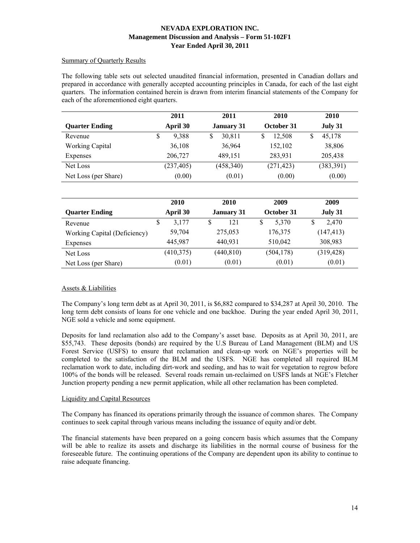## Summary of Quarterly Results

The following table sets out selected unaudited financial information, presented in Canadian dollars and prepared in accordance with generally accepted accounting principles in Canada, for each of the last eight quarters. The information contained herein is drawn from interim financial statements of the Company for each of the aforementioned eight quarters.

|                        | 2011       | 2011              | 2010       | 2010       |
|------------------------|------------|-------------------|------------|------------|
| <b>Quarter Ending</b>  | April 30   | <b>January 31</b> | October 31 | July 31    |
| Revenue                | 9,388<br>S | 30,811<br>S       | 12.508     | 45,178     |
| <b>Working Capital</b> | 36,108     | 36,964            | 152,102    | 38,806     |
| Expenses               | 206,727    | 489,151           | 283,931    | 205,438    |
| Net Loss               | (237, 405) | (458, 340)        | (271, 423) | (383, 391) |
| Net Loss (per Share)   | (0.00)     | (0.01)            | (0.00)     | (0.00)     |

|                              | 2010       | 2010              | 2009       | 2009       |
|------------------------------|------------|-------------------|------------|------------|
| <b>Quarter Ending</b>        | April 30   | <b>January 31</b> | October 31 | July 31    |
| Revenue                      | 3.177<br>S | 121<br>S          | 5.370<br>S | 2,470<br>S |
| Working Capital (Deficiency) | 59,704     | 275,053           | 176,375    | (147, 413) |
| Expenses                     | 445,987    | 440,931           | 510,042    | 308,983    |
| Net Loss                     | (410, 375) | (440, 810)        | (504, 178) | (319, 428) |
| Net Loss (per Share)         | (0.01)     | (0.01)            | (0.01)     | (0.01)     |

# Assets & Liabilities

The Company's long term debt as at April 30, 2011, is \$6,882 compared to \$34,287 at April 30, 2010. The long term debt consists of loans for one vehicle and one backhoe. During the year ended April 30, 2011, NGE sold a vehicle and some equipment.

Deposits for land reclamation also add to the Company's asset base. Deposits as at April 30, 2011, are \$55,743. These deposits (bonds) are required by the U.S Bureau of Land Management (BLM) and US Forest Service (USFS) to ensure that reclamation and clean-up work on NGE's properties will be completed to the satisfaction of the BLM and the USFS. NGE has completed all required BLM reclamation work to date, including dirt-work and seeding, and has to wait for vegetation to regrow before 100% of the bonds will be released. Several roads remain un-reclaimed on USFS lands at NGE's Fletcher Junction property pending a new permit application, while all other reclamation has been completed.

# Liquidity and Capital Resources

The Company has financed its operations primarily through the issuance of common shares. The Company continues to seek capital through various means including the issuance of equity and/or debt.

The financial statements have been prepared on a going concern basis which assumes that the Company will be able to realize its assets and discharge its liabilities in the normal course of business for the foreseeable future. The continuing operations of the Company are dependent upon its ability to continue to raise adequate financing.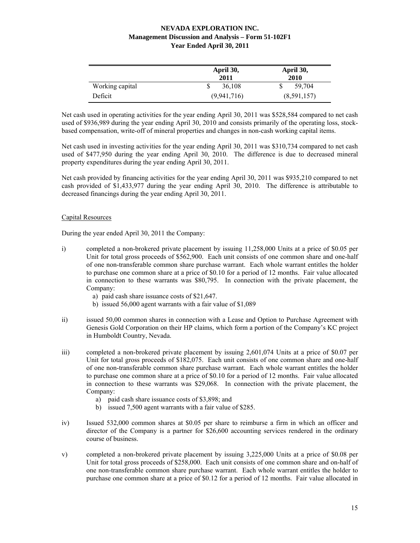|                 | April 30,<br>2011 | April 30,<br>2010 |
|-----------------|-------------------|-------------------|
| Working capital | 36,108            | 59,704            |
| Deficit         | (9,941,716)       | (8,591,157)       |

Net cash used in operating activities for the year ending April 30, 2011 was \$528,584 compared to net cash used of \$936,989 during the year ending April 30, 2010 and consists primarily of the operating loss, stockbased compensation, write-off of mineral properties and changes in non-cash working capital items.

Net cash used in investing activities for the year ending April 30, 2011 was \$310,734 compared to net cash used of \$477,950 during the year ending April 30, 2010. The difference is due to decreased mineral property expenditures during the year ending April 30, 2011.

Net cash provided by financing activities for the year ending April 30, 2011 was \$935,210 compared to net cash provided of \$1,433,977 during the year ending April 30, 2010. The difference is attributable to decreased financings during the year ending April 30, 2011.

# Capital Resources

During the year ended April 30, 2011 the Company:

- i) completed a non-brokered private placement by issuing 11,258,000 Units at a price of \$0.05 per Unit for total gross proceeds of \$562,900. Each unit consists of one common share and one-half of one non-transferable common share purchase warrant. Each whole warrant entitles the holder to purchase one common share at a price of \$0.10 for a period of 12 months. Fair value allocated in connection to these warrants was \$80,795. In connection with the private placement, the Company:
	- a) paid cash share issuance costs of \$21,647.
	- b) issued 56,000 agent warrants with a fair value of \$1,089
- ii) issued 50,00 common shares in connection with a Lease and Option to Purchase Agreement with Genesis Gold Corporation on their HP claims, which form a portion of the Company's KC project in Humboldt Country, Nevada.
- iii) completed a non-brokered private placement by issuing 2,601,074 Units at a price of \$0.07 per Unit for total gross proceeds of \$182,075. Each unit consists of one common share and one-half of one non-transferable common share purchase warrant. Each whole warrant entitles the holder to purchase one common share at a price of \$0.10 for a period of 12 months. Fair value allocated in connection to these warrants was \$29,068. In connection with the private placement, the Company:
	- a) paid cash share issuance costs of \$3,898; and
	- b) issued 7,500 agent warrants with a fair value of \$285.
- iv) Issued 532,000 common shares at \$0.05 per share to reimburse a firm in which an officer and director of the Company is a partner for \$26,600 accounting services rendered in the ordinary course of business.
- v) completed a non-brokered private placement by issuing 3,225,000 Units at a price of \$0.08 per Unit for total gross proceeds of \$258,000. Each unit consists of one common share and on-half of one non-transferable common share purchase warrant. Each whole warrant entitles the holder to purchase one common share at a price of \$0.12 for a period of 12 months. Fair value allocated in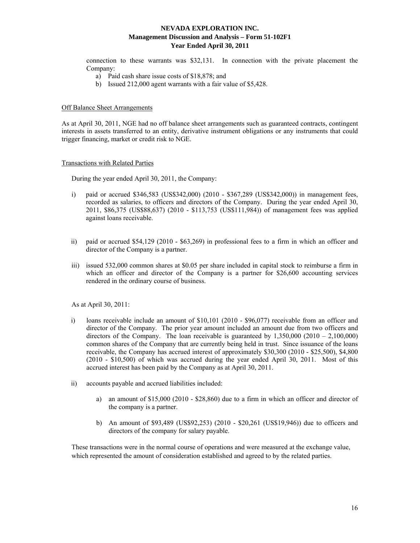connection to these warrants was \$32,131. In connection with the private placement the Company:

- a) Paid cash share issue costs of \$18,878; and
- b) Issued 212,000 agent warrants with a fair value of \$5,428.

### Off Balance Sheet Arrangements

As at April 30, 2011, NGE had no off balance sheet arrangements such as guaranteed contracts, contingent interests in assets transferred to an entity, derivative instrument obligations or any instruments that could trigger financing, market or credit risk to NGE.

#### Transactions with Related Parties

During the year ended April 30, 2011, the Company:

- i) paid or accrued \$346,583 (US\$342,000) (2010 \$367,289 (US\$342,000)) in management fees, recorded as salaries, to officers and directors of the Company. During the year ended April 30, 2011, \$86,375 (US\$88,637) (2010 - \$113,753 (US\$111,984)) of management fees was applied against loans receivable.
- ii) paid or accrued \$54,129 (2010 \$63,269) in professional fees to a firm in which an officer and director of the Company is a partner.
- iii) issued 532,000 common shares at \$0.05 per share included in capital stock to reimburse a firm in which an officer and director of the Company is a partner for \$26,600 accounting services rendered in the ordinary course of business.

As at April 30, 2011:

- i) loans receivable include an amount of \$10,101 (2010 \$96,077) receivable from an officer and director of the Company. The prior year amount included an amount due from two officers and directors of the Company. The loan receivable is guaranteed by  $1,350,000$  ( $2010 - 2,100,000$ ) common shares of the Company that are currently being held in trust. Since issuance of the loans receivable, the Company has accrued interest of approximately \$30,300 (2010 - \$25,500), \$4,800 (2010 - \$10,500) of which was accrued during the year ended April 30, 2011. Most of this accrued interest has been paid by the Company as at April 30, 2011.
- ii) accounts payable and accrued liabilities included:
	- a) an amount of \$15,000 (2010 \$28,860) due to a firm in which an officer and director of the company is a partner.
	- b) An amount of \$93,489 (US\$92,253) (2010 \$20,261 (US\$19,946)) due to officers and directors of the company for salary payable.

These transactions were in the normal course of operations and were measured at the exchange value, which represented the amount of consideration established and agreed to by the related parties.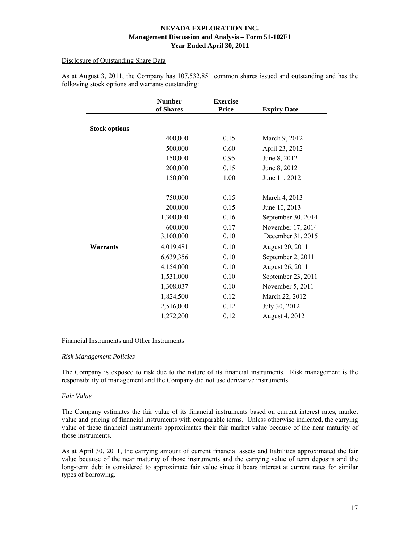# Disclosure of Outstanding Share Data

|                      | <b>Number</b> | <b>Exercise</b> |                    |
|----------------------|---------------|-----------------|--------------------|
|                      | of Shares     | <b>Price</b>    | <b>Expiry Date</b> |
|                      |               |                 |                    |
| <b>Stock options</b> |               |                 |                    |
|                      | 400,000       | 0.15            | March 9, 2012      |
|                      | 500,000       | 0.60            | April 23, 2012     |
|                      | 150,000       | 0.95            | June 8, 2012       |
|                      | 200,000       | 0.15            | June 8, 2012       |
|                      | 150,000       | 1.00            | June 11, 2012      |
|                      |               |                 |                    |
|                      | 750,000       | 0.15            | March 4, 2013      |
|                      | 200,000       | 0.15            | June 10, 2013      |
|                      | 1,300,000     | 0.16            | September 30, 2014 |
|                      | 600,000       | 0.17            | November 17, 2014  |
|                      | 3,100,000     | 0.10            | December 31, 2015  |
| <b>Warrants</b>      | 4,019,481     | 0.10            | August 20, 2011    |
|                      | 6,639,356     | 0.10            | September 2, 2011  |
|                      | 4,154,000     | 0.10            | August 26, 2011    |
|                      | 1,531,000     | 0.10            | September 23, 2011 |
|                      | 1,308,037     | 0.10            | November 5, 2011   |
|                      | 1,824,500     | 0.12            | March 22, 2012     |
|                      | 2,516,000     | 0.12            | July 30, 2012      |
|                      | 1,272,200     | 0.12            | August 4, 2012     |

As at August 3, 2011, the Company has 107,532,851 common shares issued and outstanding and has the following stock options and warrants outstanding:

# Financial Instruments and Other Instruments

# *Risk Management Policies*

The Company is exposed to risk due to the nature of its financial instruments. Risk management is the responsibility of management and the Company did not use derivative instruments.

# *Fair Value*

The Company estimates the fair value of its financial instruments based on current interest rates, market value and pricing of financial instruments with comparable terms. Unless otherwise indicated, the carrying value of these financial instruments approximates their fair market value because of the near maturity of those instruments.

As at April 30, 2011, the carrying amount of current financial assets and liabilities approximated the fair value because of the near maturity of those instruments and the carrying value of term deposits and the long-term debt is considered to approximate fair value since it bears interest at current rates for similar types of borrowing.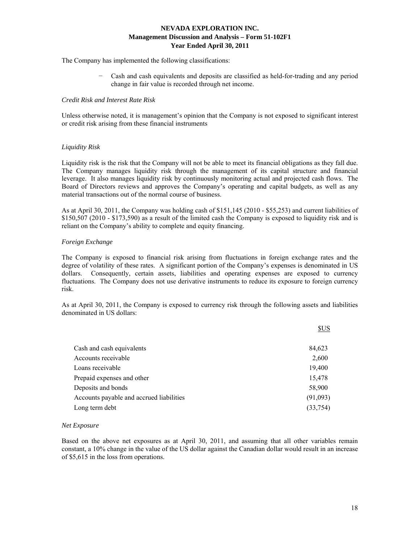The Company has implemented the following classifications:

− Cash and cash equivalents and deposits are classified as held-for-trading and any period change in fair value is recorded through net income.

### *Credit Risk and Interest Rate Risk*

Unless otherwise noted, it is management's opinion that the Company is not exposed to significant interest or credit risk arising from these financial instruments

## *Liquidity Risk*

Liquidity risk is the risk that the Company will not be able to meet its financial obligations as they fall due. The Company manages liquidity risk through the management of its capital structure and financial leverage. It also manages liquidity risk by continuously monitoring actual and projected cash flows. The Board of Directors reviews and approves the Company's operating and capital budgets, as well as any material transactions out of the normal course of business.

As at April 30, 2011, the Company was holding cash of \$151,145 (2010 - \$55,253) and current liabilities of \$150,507 (2010 - \$173,590) as a result of the limited cash the Company is exposed to liquidity risk and is reliant on the Company's ability to complete and equity financing.

## *Foreign Exchange*

The Company is exposed to financial risk arising from fluctuations in foreign exchange rates and the degree of volatility of these rates. A significant portion of the Company's expenses is denominated in US dollars. Consequently, certain assets, liabilities and operating expenses are exposed to currency fluctuations. The Company does not use derivative instruments to reduce its exposure to foreign currency risk.

As at April 30, 2011, the Company is exposed to currency risk through the following assets and liabilities denominated in US dollars:

|                                          | <b>SUS</b> |
|------------------------------------------|------------|
|                                          |            |
| Cash and cash equivalents                | 84,623     |
| Accounts receivable                      | 2,600      |
| Loans receivable                         | 19,400     |
| Prepaid expenses and other               | 15,478     |
| Deposits and bonds                       | 58,900     |
| Accounts payable and accrued liabilities | (91,093)   |
| Long term debt                           | (33,754)   |

#### *Net Exposure*

Based on the above net exposures as at April 30, 2011, and assuming that all other variables remain constant, a 10% change in the value of the US dollar against the Canadian dollar would result in an increase of \$5,615 in the loss from operations.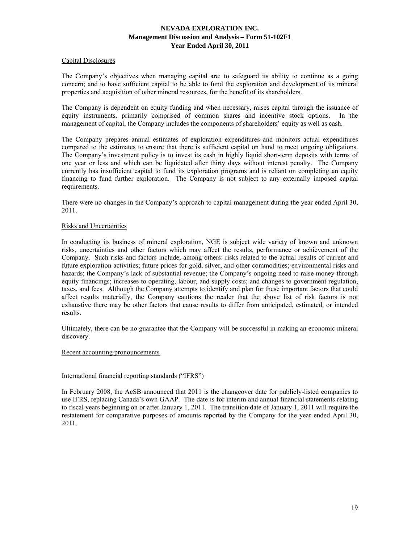## Capital Disclosures

The Company's objectives when managing capital are: to safeguard its ability to continue as a going concern; and to have sufficient capital to be able to fund the exploration and development of its mineral properties and acquisition of other mineral resources, for the benefit of its shareholders.

The Company is dependent on equity funding and when necessary, raises capital through the issuance of equity instruments, primarily comprised of common shares and incentive stock options. In the management of capital, the Company includes the components of shareholders' equity as well as cash.

The Company prepares annual estimates of exploration expenditures and monitors actual expenditures compared to the estimates to ensure that there is sufficient capital on hand to meet ongoing obligations. The Company's investment policy is to invest its cash in highly liquid short-term deposits with terms of one year or less and which can be liquidated after thirty days without interest penalty. The Company currently has insufficient capital to fund its exploration programs and is reliant on completing an equity financing to fund further exploration. The Company is not subject to any externally imposed capital requirements.

There were no changes in the Company's approach to capital management during the year ended April 30, 2011.

## Risks and Uncertainties

In conducting its business of mineral exploration, NGE is subject wide variety of known and unknown risks, uncertainties and other factors which may affect the results, performance or achievement of the Company. Such risks and factors include, among others: risks related to the actual results of current and future exploration activities; future prices for gold, silver, and other commodities; environmental risks and hazards; the Company's lack of substantial revenue; the Company's ongoing need to raise money through equity financings; increases to operating, labour, and supply costs; and changes to government regulation, taxes, and fees. Although the Company attempts to identify and plan for these important factors that could affect results materially, the Company cautions the reader that the above list of risk factors is not exhaustive there may be other factors that cause results to differ from anticipated, estimated, or intended results.

Ultimately, there can be no guarantee that the Company will be successful in making an economic mineral discovery.

## Recent accounting pronouncements

# International financial reporting standards ("IFRS")

In February 2008, the AcSB announced that 2011 is the changeover date for publicly-listed companies to use IFRS, replacing Canada's own GAAP. The date is for interim and annual financial statements relating to fiscal years beginning on or after January 1, 2011. The transition date of January 1, 2011 will require the restatement for comparative purposes of amounts reported by the Company for the year ended April 30, 2011.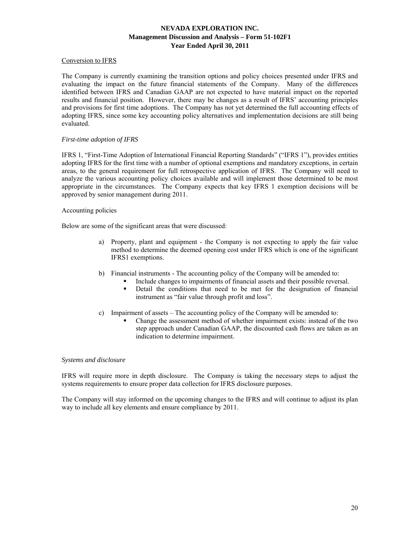# Conversion to IFRS

The Company is currently examining the transition options and policy choices presented under IFRS and evaluating the impact on the future financial statements of the Company. Many of the differences identified between IFRS and Canadian GAAP are not expected to have material impact on the reported results and financial position. However, there may be changes as a result of IFRS' accounting principles and provisions for first time adoptions. The Company has not yet determined the full accounting effects of adopting IFRS, since some key accounting policy alternatives and implementation decisions are still being evaluated.

## *First-time adoption of IFRS*

IFRS 1, "First-Time Adoption of International Financial Reporting Standards" ("IFRS 1"), provides entities adopting IFRS for the first time with a number of optional exemptions and mandatory exceptions, in certain areas, to the general requirement for full retrospective application of IFRS. The Company will need to analyze the various accounting policy choices available and will implement those determined to be most appropriate in the circumstances. The Company expects that key IFRS 1 exemption decisions will be approved by senior management during 2011.

#### Accounting policies

Below are some of the significant areas that were discussed:

- a) Property, plant and equipment the Company is not expecting to apply the fair value method to determine the deemed opening cost under IFRS which is one of the significant IFRS1 exemptions.
- b) Financial instruments The accounting policy of the Company will be amended to:
	- Include changes to impairments of financial assets and their possible reversal.
	- Detail the conditions that need to be met for the designation of financial instrument as "fair value through profit and loss".
- c) Impairment of assets The accounting policy of the Company will be amended to:
	- Change the assessment method of whether impairment exists: instead of the two step approach under Canadian GAAP, the discounted cash flows are taken as an indication to determine impairment.

#### *Systems and disclosure*

IFRS will require more in depth disclosure. The Company is taking the necessary steps to adjust the systems requirements to ensure proper data collection for IFRS disclosure purposes.

The Company will stay informed on the upcoming changes to the IFRS and will continue to adjust its plan way to include all key elements and ensure compliance by 2011.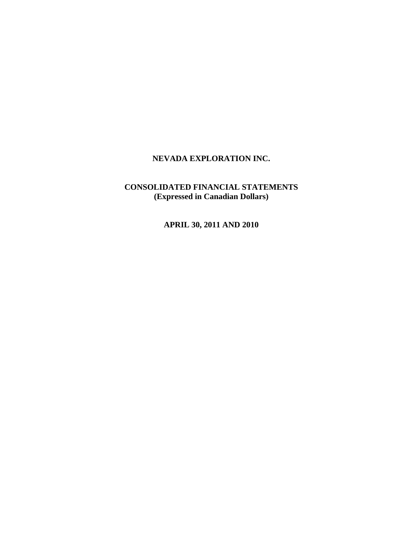# **NEVADA EXPLORATION INC.**

# **CONSOLIDATED FINANCIAL STATEMENTS (Expressed in Canadian Dollars)**

**APRIL 30, 2011 AND 2010**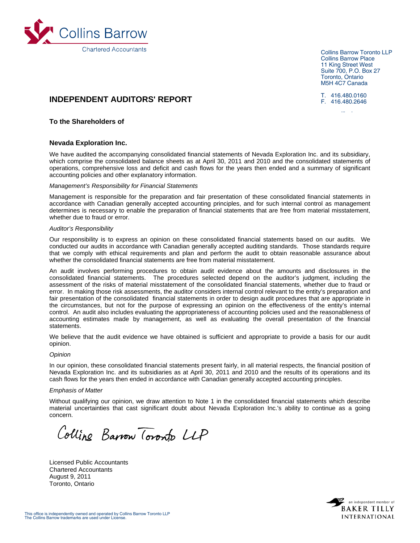

Collins Barrow Toronto LLP Collins Barrow Place 11 King Street West Suite 700, P.O. Box 27 Toronto, Ontario M5H 4C7 Canada

T. 416.480.0160 F. 416.480.2646

lli b

# **INDEPENDENT AUDITORS' REPORT**

### **To the Shareholders of**

#### **Nevada Exploration Inc.**

We have audited the accompanying consolidated financial statements of Nevada Exploration Inc. and its subsidiary, which comprise the consolidated balance sheets as at April 30, 2011 and 2010 and the consolidated statements of operations, comprehensive loss and deficit and cash flows for the years then ended and a summary of significant accounting policies and other explanatory information.

#### *Management's Responsibility for Financial Statements*

Management is responsible for the preparation and fair presentation of these consolidated financial statements in accordance with Canadian generally accepted accounting principles, and for such internal control as management determines is necessary to enable the preparation of financial statements that are free from material misstatement, whether due to fraud or error.

#### *Auditor's Responsibility*

Our responsibility is to express an opinion on these consolidated financial statements based on our audits. We conducted our audits in accordance with Canadian generally accepted auditing standards. Those standards require that we comply with ethical requirements and plan and perform the audit to obtain reasonable assurance about whether the consolidated financial statements are free from material misstatement.

An audit involves performing procedures to obtain audit evidence about the amounts and disclosures in the consolidated financial statements. The procedures selected depend on the auditor's judgment, including the assessment of the risks of material misstatement of the consolidated financial statements, whether due to fraud or error. In making those risk assessments, the auditor considers internal control relevant to the entity's preparation and fair presentation of the consolidated financial statements in order to design audit procedures that are appropriate in the circumstances, but not for the purpose of expressing an opinion on the effectiveness of the entity's internal control. An audit also includes evaluating the appropriateness of accounting policies used and the reasonableness of accounting estimates made by management, as well as evaluating the overall presentation of the financial statements.

We believe that the audit evidence we have obtained is sufficient and appropriate to provide a basis for our audit opinion.

#### *Opinion*

In our opinion, these consolidated financial statements present fairly, in all material respects, the financial position of Nevada Exploration Inc. and its subsidiaries as at April 30, 2011 and 2010 and the results of its operations and its cash flows for the years then ended in accordance with Canadian generally accepted accounting principles.

#### *Emphasis of Matter*

Without qualifying our opinion, we draw attention to Note 1 in the consolidated financial statements which describe material uncertainties that cast significant doubt about Nevada Exploration Inc.'s ability to continue as a going concern.

Colline Barrow Toronto LLP

Licensed Public Accountants Chartered Accountants August 9, 2011 Toronto, Ontario

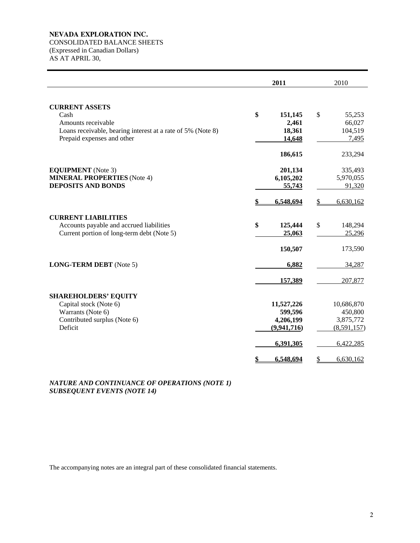# **NEVADA EXPLORATION INC.**

CONSOLIDATED BALANCE SHEETS

(Expressed in Canadian Dollars) AS AT APRIL 30,

|                                                                                                                                                  | 2011                                                                              | 2010                                                                              |
|--------------------------------------------------------------------------------------------------------------------------------------------------|-----------------------------------------------------------------------------------|-----------------------------------------------------------------------------------|
| <b>CURRENT ASSETS</b><br>Cash<br>Amounts receivable<br>Loans receivable, bearing interest at a rate of 5% (Note 8)<br>Prepaid expenses and other | \$<br>151,145<br>2,461<br>18,361<br>14,648                                        | \$<br>55,253<br>66,027<br>104,519<br>7,495                                        |
| <b>EQUIPMENT</b> (Note 3)<br><b>MINERAL PROPERTIES</b> (Note 4)<br><b>DEPOSITS AND BONDS</b>                                                     | 186,615<br>201,134<br>6,105,202<br>55,743<br>6,548,694                            | 233,294<br>335,493<br>5,970,055<br>91,320<br>6,630,162<br>S                       |
| <b>CURRENT LIABILITIES</b><br>Accounts payable and accrued liabilities<br>Current portion of long-term debt (Note 5)                             | \$<br>125,444<br>25,063<br>150,507                                                | \$<br>148,294<br>25,296<br>173,590                                                |
| <b>LONG-TERM DEBT</b> (Note 5)                                                                                                                   | 6,882<br>157,389                                                                  | 34,287<br>207,877                                                                 |
| <b>SHAREHOLDERS' EQUITY</b><br>Capital stock (Note 6)<br>Warrants (Note 6)<br>Contributed surplus (Note 6)<br>Deficit                            | 11,527,226<br>599,596<br>4,206,199<br>(9,941,716)<br>6,391,305<br>6,548,694<br>\$ | 10,686,870<br>450,800<br>3,875,772<br>(8,591,157)<br>6,422,285<br>\$<br>6,630,162 |

# *NATURE AND CONTINUANCE OF OPERATIONS (NOTE 1) SUBSEQUENT EVENTS (NOTE 14)*

The accompanying notes are an integral part of these consolidated financial statements.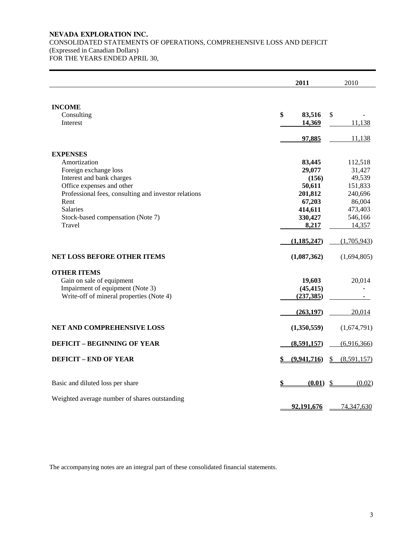# **NEVADA EXPLORATION INC.**  CONSOLIDATED STATEMENTS OF OPERATIONS, COMPREHENSIVE LOSS AND DEFICIT (Expressed in Canadian Dollars) FOR THE YEARS ENDED APRIL 30,

|                                                      | 2011          | 2010                         |
|------------------------------------------------------|---------------|------------------------------|
| <b>INCOME</b><br>Consulting                          | \$<br>83,516  | \$                           |
| Interest                                             | 14,369        | 11,138                       |
|                                                      | 97,885        | 11,138                       |
| <b>EXPENSES</b>                                      |               |                              |
| Amortization                                         | 83,445        | 112,518                      |
| Foreign exchange loss                                | 29,077        | 31,427                       |
| Interest and bank charges                            | (156)         | 49,539                       |
| Office expenses and other                            | 50,611        | 151,833                      |
| Professional fees, consulting and investor relations | 201,812       | 240,696                      |
| Rent                                                 | 67,203        | 86,004                       |
| <b>Salaries</b>                                      | 414,611       | 473,403                      |
| Stock-based compensation (Note 7)                    | 330,427       | 546,166                      |
| Travel                                               | 8,217         | 14,357                       |
|                                                      | (1, 185, 247) | (1,705,943)                  |
| <b>NET LOSS BEFORE OTHER ITEMS</b>                   | (1,087,362)   | (1,694,805)                  |
| <b>OTHER ITEMS</b>                                   |               |                              |
| Gain on sale of equipment                            | 19,603        | 20,014                       |
| Impairment of equipment (Note 3)                     | (45, 415)     |                              |
| Write-off of mineral properties (Note 4)             | (237, 385)    |                              |
|                                                      | (263, 197)    | 20,014                       |
|                                                      |               |                              |
| NET AND COMPREHENSIVE LOSS                           | (1,350,559)   | (1,674,791)                  |
| <b>DEFICIT - BEGINNING OF YEAR</b>                   | (8,591,157)   | (6,916,366)                  |
| <b>DEFICIT - END OF YEAR</b>                         | (9,941,716)   | (8,591,157)<br>$\frac{1}{2}$ |
|                                                      |               |                              |
| Basic and diluted loss per share                     | (0.01)        | \$<br>(0.02)                 |
| Weighted average number of shares outstanding        |               |                              |
|                                                      | 92,191,676    | 74,347,630                   |

The accompanying notes are an integral part of these consolidated financial statements.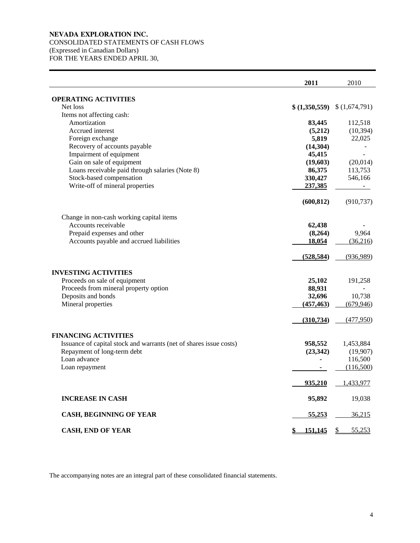# **NEVADA EXPLORATION INC.**  CONSOLIDATED STATEMENTS OF CASH FLOWS (Expressed in Canadian Dollars) FOR THE YEARS ENDED APRIL 30,

|                                                                    | 2011           | 2010          |
|--------------------------------------------------------------------|----------------|---------------|
| <b>OPERATING ACTIVITIES</b>                                        |                |               |
| Net loss                                                           | \$ (1,350,559) | \$(1,674,791) |
| Items not affecting cash:                                          |                |               |
| Amortization                                                       | 83,445         | 112,518       |
| Accrued interest                                                   | (5,212)        | (10, 394)     |
| Foreign exchange                                                   | 5,819          | 22,025        |
| Recovery of accounts payable                                       | (14, 304)      |               |
| Impairment of equipment                                            | 45,415         |               |
| Gain on sale of equipment                                          | (19,603)       | (20,014)      |
| Loans receivable paid through salaries (Note 8)                    | 86,375         | 113,753       |
| Stock-based compensation                                           | 330,427        | 546,166       |
| Write-off of mineral properties                                    | 237,385        |               |
|                                                                    | (600, 812)     | (910, 737)    |
| Change in non-cash working capital items                           |                |               |
| Accounts receivable                                                | 62,438         |               |
| Prepaid expenses and other                                         | (8,264)        | 9,964         |
| Accounts payable and accrued liabilities                           | 18,054         | (36,216)      |
|                                                                    | (528, 584)     | (936,989)     |
| <b>INVESTING ACTIVITIES</b>                                        |                |               |
| Proceeds on sale of equipment                                      | 25,102         | 191,258       |
| Proceeds from mineral property option                              | 88,931         |               |
| Deposits and bonds                                                 | 32,696         | 10,738        |
| Mineral properties                                                 | (457, 463)     | (679, 946)    |
|                                                                    | (310, 734)     | (477,950)     |
| <b>FINANCING ACTIVITIES</b>                                        |                |               |
| Issuance of capital stock and warrants (net of shares issue costs) | 958,552        | 1,453,884     |
| Repayment of long-term debt                                        | (23, 342)      | (19,907)      |
| Loan advance                                                       |                | 116,500       |
| Loan repayment                                                     | ٠              | (116,500)     |
|                                                                    | 935,210        | 1,433,977     |
| <b>INCREASE IN CASH</b>                                            | 95,892         | 19,038        |
| <b>CASH, BEGINNING OF YEAR</b>                                     | <u>55,253</u>  | <u>36,215</u> |
| <b>CASH, END OF YEAR</b>                                           | \$<br>151,145  | \$<br>55,253  |

The accompanying notes are an integral part of these consolidated financial statements.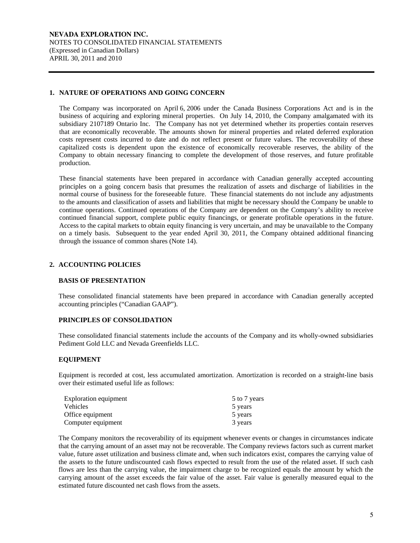**NEVADA EXPLORATION INC.**  NOTES TO CONSOLIDATED FINANCIAL STATEMENTS (Expressed in Canadian Dollars) APRIL 30, 2011 and 2010

# **1. NATURE OF OPERATIONS AND GOING CONCERN**

The Company was incorporated on April 6, 2006 under the Canada Business Corporations Act and is in the business of acquiring and exploring mineral properties. On July 14, 2010, the Company amalgamated with its subsidiary 2107189 Ontario Inc. The Company has not yet determined whether its properties contain reserves that are economically recoverable. The amounts shown for mineral properties and related deferred exploration costs represent costs incurred to date and do not reflect present or future values. The recoverability of these capitalized costs is dependent upon the existence of economically recoverable reserves, the ability of the Company to obtain necessary financing to complete the development of those reserves, and future profitable production.

These financial statements have been prepared in accordance with Canadian generally accepted accounting principles on a going concern basis that presumes the realization of assets and discharge of liabilities in the normal course of business for the foreseeable future. These financial statements do not include any adjustments to the amounts and classification of assets and liabilities that might be necessary should the Company be unable to continue operations. Continued operations of the Company are dependent on the Company's ability to receive continued financial support, complete public equity financings, or generate profitable operations in the future. Access to the capital markets to obtain equity financing is very uncertain, and may be unavailable to the Company on a timely basis. Subsequent to the year ended April 30, 2011, the Company obtained additional financing through the issuance of common shares (Note 14).

# **2. ACCOUNTING POLICIES**

# **BASIS OF PRESENTATION**

 These consolidated financial statements have been prepared in accordance with Canadian generally accepted accounting principles ("Canadian GAAP").

# **PRINCIPLES OF CONSOLIDATION**

 These consolidated financial statements include the accounts of the Company and its wholly-owned subsidiaries Pediment Gold LLC and Nevada Greenfields LLC.

# **EQUIPMENT**

 Equipment is recorded at cost, less accumulated amortization. Amortization is recorded on a straight-line basis over their estimated useful life as follows:

| Exploration equipment | 5 to 7 years |
|-----------------------|--------------|
| <b>Vehicles</b>       | 5 years      |
| Office equipment      | 5 years      |
| Computer equipment    | 3 years      |

 The Company monitors the recoverability of its equipment whenever events or changes in circumstances indicate that the carrying amount of an asset may not be recoverable. The Company reviews factors such as current market value, future asset utilization and business climate and, when such indicators exist, compares the carrying value of the assets to the future undiscounted cash flows expected to result from the use of the related asset. If such cash flows are less than the carrying value, the impairment charge to be recognized equals the amount by which the carrying amount of the asset exceeds the fair value of the asset. Fair value is generally measured equal to the estimated future discounted net cash flows from the assets.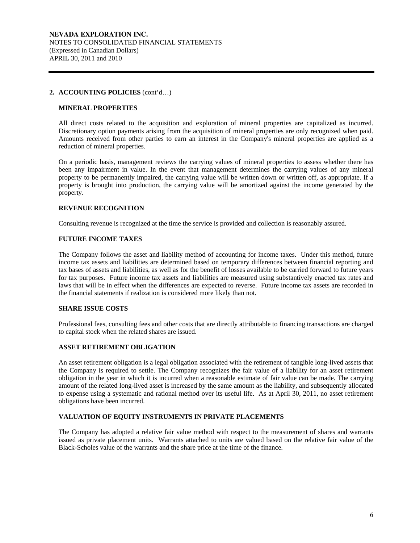### **MINERAL PROPERTIES**

All direct costs related to the acquisition and exploration of mineral properties are capitalized as incurred. Discretionary option payments arising from the acquisition of mineral properties are only recognized when paid. Amounts received from other parties to earn an interest in the Company's mineral properties are applied as a reduction of mineral properties.

On a periodic basis, management reviews the carrying values of mineral properties to assess whether there has been any impairment in value. In the event that management determines the carrying values of any mineral property to be permanently impaired, the carrying value will be written down or written off, as appropriate. If a property is brought into production, the carrying value will be amortized against the income generated by the property.

## **REVENUE RECOGNITION**

Consulting revenue is recognized at the time the service is provided and collection is reasonably assured.

## **FUTURE INCOME TAXES**

 The Company follows the asset and liability method of accounting for income taxes. Under this method, future income tax assets and liabilities are determined based on temporary differences between financial reporting and tax bases of assets and liabilities, as well as for the benefit of losses available to be carried forward to future years for tax purposes. Future income tax assets and liabilities are measured using substantively enacted tax rates and laws that will be in effect when the differences are expected to reverse. Future income tax assets are recorded in the financial statements if realization is considered more likely than not.

## **SHARE ISSUE COSTS**

 Professional fees, consulting fees and other costs that are directly attributable to financing transactions are charged to capital stock when the related shares are issued.

# **ASSET RETIREMENT OBLIGATION**

An asset retirement obligation is a legal obligation associated with the retirement of tangible long-lived assets that the Company is required to settle. The Company recognizes the fair value of a liability for an asset retirement obligation in the year in which it is incurred when a reasonable estimate of fair value can be made. The carrying amount of the related long-lived asset is increased by the same amount as the liability, and subsequently allocated to expense using a systematic and rational method over its useful life. As at April 30, 2011, no asset retirement obligations have been incurred.

# **VALUATION OF EQUITY INSTRUMENTS IN PRIVATE PLACEMENTS**

 The Company has adopted a relative fair value method with respect to the measurement of shares and warrants issued as private placement units. Warrants attached to units are valued based on the relative fair value of the Black-Scholes value of the warrants and the share price at the time of the finance.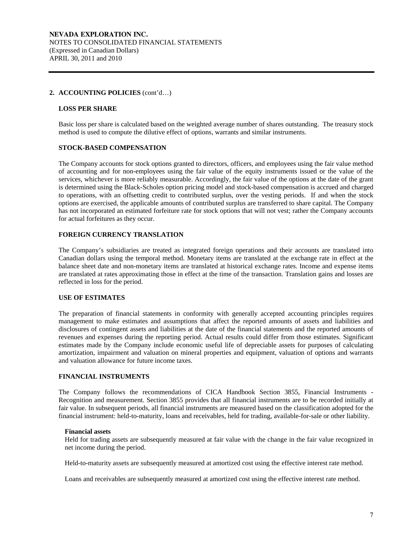#### **LOSS PER SHARE**

Basic loss per share is calculated based on the weighted average number of shares outstanding. The treasury stock method is used to compute the dilutive effect of options, warrants and similar instruments.

### **STOCK-BASED COMPENSATION**

The Company accounts for stock options granted to directors, officers, and employees using the fair value method of accounting and for non-employees using the fair value of the equity instruments issued or the value of the services, whichever is more reliably measurable. Accordingly, the fair value of the options at the date of the grant is determined using the Black-Scholes option pricing model and stock-based compensation is accrued and charged to operations, with an offsetting credit to contributed surplus, over the vesting periods. If and when the stock options are exercised, the applicable amounts of contributed surplus are transferred to share capital. The Company has not incorporated an estimated forfeiture rate for stock options that will not vest; rather the Company accounts for actual forfeitures as they occur.

#### **FOREIGN CURRENCY TRANSLATION**

The Company's subsidiaries are treated as integrated foreign operations and their accounts are translated into Canadian dollars using the temporal method. Monetary items are translated at the exchange rate in effect at the balance sheet date and non-monetary items are translated at historical exchange rates. Income and expense items are translated at rates approximating those in effect at the time of the transaction. Translation gains and losses are reflected in loss for the period.

### **USE OF ESTIMATES**

The preparation of financial statements in conformity with generally accepted accounting principles requires management to make estimates and assumptions that affect the reported amounts of assets and liabilities and disclosures of contingent assets and liabilities at the date of the financial statements and the reported amounts of revenues and expenses during the reporting period. Actual results could differ from those estimates. Significant estimates made by the Company include economic useful life of depreciable assets for purposes of calculating amortization, impairment and valuation on mineral properties and equipment, valuation of options and warrants and valuation allowance for future income taxes.

## **FINANCIAL INSTRUMENTS**

The Company follows the recommendations of CICA Handbook Section 3855, Financial Instruments - Recognition and measurement. Section 3855 provides that all financial instruments are to be recorded initially at fair value. In subsequent periods, all financial instruments are measured based on the classification adopted for the financial instrument: held-to-maturity, loans and receivables, held for trading, available-for-sale or other liability.

#### **Financial assets**

Held for trading assets are subsequently measured at fair value with the change in the fair value recognized in net income during the period.

Held-to-maturity assets are subsequently measured at amortized cost using the effective interest rate method.

Loans and receivables are subsequently measured at amortized cost using the effective interest rate method.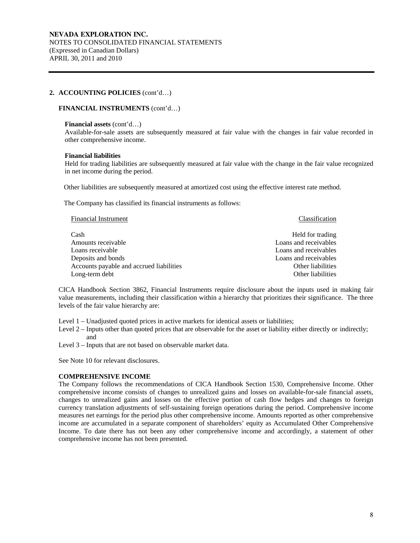### **FINANCIAL INSTRUMENTS** (cont'd…)

#### **Financial assets** (cont'd…)

Available-for-sale assets are subsequently measured at fair value with the changes in fair value recorded in other comprehensive income.

#### **Financial liabilities**

Held for trading liabilities are subsequently measured at fair value with the change in the fair value recognized in net income during the period.

Other liabilities are subsequently measured at amortized cost using the effective interest rate method.

The Company has classified its financial instruments as follows:

| <b>Financial Instrument</b>              | Classification        |
|------------------------------------------|-----------------------|
| Cash                                     | Held for trading      |
| Amounts receivable                       | Loans and receivables |
| Loans receivable                         | Loans and receivables |
| Deposits and bonds                       | Loans and receivables |
| Accounts payable and accrued liabilities | Other liabilities     |
| Long-term debt                           | Other liabilities     |

CICA Handbook Section 3862, Financial Instruments require disclosure about the inputs used in making fair value measurements, including their classification within a hierarchy that prioritizes their significance. The three levels of the fair value hierarchy are:

Level 1 – Unadjusted quoted prices in active markets for identical assets or liabilities;

Level 2 – Inputs other than quoted prices that are observable for the asset or liability either directly or indirectly; and

Level 3 – Inputs that are not based on observable market data.

See Note 10 for relevant disclosures.

#### **COMPREHENSIVE INCOME**

The Company follows the recommendations of CICA Handbook Section 1530, Comprehensive Income. Other comprehensive income consists of changes to unrealized gains and losses on available-for-sale financial assets, changes to unrealized gains and losses on the effective portion of cash flow hedges and changes to foreign currency translation adjustments of self-sustaining foreign operations during the period. Comprehensive income measures net earnings for the period plus other comprehensive income. Amounts reported as other comprehensive income are accumulated in a separate component of shareholders' equity as Accumulated Other Comprehensive Income. To date there has not been any other comprehensive income and accordingly, a statement of other comprehensive income has not been presented.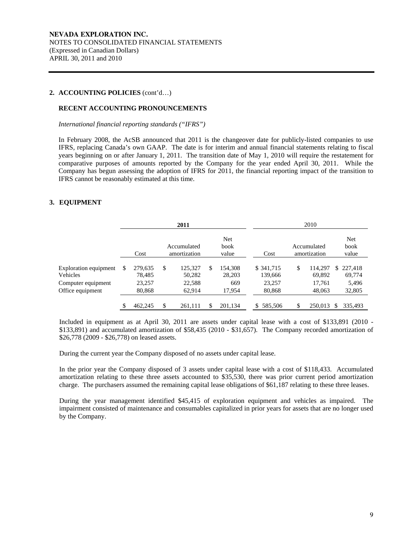### **RECENT ACCOUNTING PRONOUNCEMENTS**

 *International financial reporting standards ("IFRS")* 

 In February 2008, the AcSB announced that 2011 is the changeover date for publicly-listed companies to use IFRS, replacing Canada's own GAAP. The date is for interim and annual financial statements relating to fiscal years beginning on or after January 1, 2011. The transition date of May 1, 2010 will require the restatement for comparative purposes of amounts reported by the Company for the year ended April 30, 2011. While the Company has begun assessing the adoption of IFRS for 2011, the financial reporting impact of the transition to IFRS cannot be reasonably estimated at this time.

# **3. EQUIPMENT**

|                                          | 2011 |                   |    |                             |                         |                       | 2010 |                             |     |                      |
|------------------------------------------|------|-------------------|----|-----------------------------|-------------------------|-----------------------|------|-----------------------------|-----|----------------------|
|                                          |      | Cost              |    | Accumulated<br>amortization | Net<br>book<br>value    | Cost                  |      | Accumulated<br>amortization |     | Net<br>book<br>value |
| Exploration equipment<br><b>Vehicles</b> | \$   | 279,635<br>78,485 | \$ | 125,327<br>50,282           | \$<br>154.308<br>28,203 | \$ 341,715<br>139,666 | \$   | 114.297<br>69,892           | S.  | 227.418<br>69,774    |
| Computer equipment<br>Office equipment   |      | 23,257<br>80,868  |    | 22,588<br>62,914            | 669<br>17,954           | 23,257<br>80,868      |      | 17,761<br>48,063            |     | 5,496<br>32,805      |
|                                          | \$   | 462,245           | \$ | 261,111                     | 201.134                 | 585,506<br>\$         | \$   | 250,013                     | \$. | 335.493              |

Included in equipment as at April 30, 2011 are assets under capital lease with a cost of \$133,891 (2010 - \$133,891) and accumulated amortization of \$58,435 (2010 - \$31,657). The Company recorded amortization of \$26,778 (2009 - \$26,778) on leased assets.

During the current year the Company disposed of no assets under capital lease.

In the prior year the Company disposed of 3 assets under capital lease with a cost of \$118,433. Accumulated amortization relating to these three assets accounted to \$35,530, there was prior current period amortization charge. The purchasers assumed the remaining capital lease obligations of \$61,187 relating to these three leases.

During the year management identified \$45,415 of exploration equipment and vehicles as impaired. The impairment consisted of maintenance and consumables capitalized in prior years for assets that are no longer used by the Company.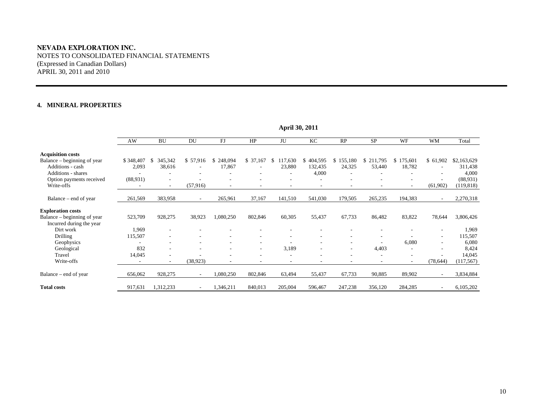## **NEVADA EXPLORATION INC.**  NOTES TO CONSOLIDATED FINANCIAL STATEMENTS (Expressed in Canadian Dollars) APRIL 30, 2011 and 2010

#### **4. MINERAL PROPERTIES**

|                             | AW        | <b>BU</b>                | DU                       | FJ                       | HP       | JU                       | KC                       | RP                       | SP                       | WF                       | <b>WM</b>                | Total       |
|-----------------------------|-----------|--------------------------|--------------------------|--------------------------|----------|--------------------------|--------------------------|--------------------------|--------------------------|--------------------------|--------------------------|-------------|
| <b>Acquisition costs</b>    |           |                          |                          |                          |          |                          |                          |                          |                          |                          |                          |             |
| Balance – beginning of year | \$348,407 | 345,342<br>S             | \$57,916                 | 248,094<br>S             | \$37,167 | 117,630<br>\$            | 404,595<br>\$            | \$155,180                | \$211,795                | 175,601<br>S.            | \$61,902                 | \$2,163,629 |
| Additions - cash            | 2,093     | 38,616                   | $\overline{\phantom{a}}$ | 17,867                   | ٠        | 23,880                   | 132,435                  | 24,325                   | 53,440                   | 18,782                   | $\sim$                   | 311,438     |
| <b>Additions - shares</b>   |           |                          | ٠                        |                          | ۰        | $\overline{\phantom{a}}$ | 4,000                    | ٠                        |                          |                          | $\overline{\phantom{a}}$ | 4,000       |
| Option payments received    | (88,931)  |                          |                          |                          |          |                          |                          |                          |                          |                          | $\overline{\phantom{a}}$ | (88,931)    |
| Write-offs                  |           | $\sim$                   | (57, 916)                | $\overline{\phantom{a}}$ | ٠        | $\overline{\phantom{a}}$ | ۰                        | $\overline{\phantom{a}}$ |                          | ۰                        | (61,902)                 | (119, 818)  |
|                             |           |                          |                          |                          |          |                          |                          |                          |                          |                          |                          |             |
| Balance – end of year       | 261,569   | 383,958                  | $\overline{\phantom{a}}$ | 265,961                  | 37,167   | 141,510                  | 541,030                  | 179,505                  | 265,235                  | 194,383                  | $\sim$                   | 2,270,318   |
| <b>Exploration costs</b>    |           |                          |                          |                          |          |                          |                          |                          |                          |                          |                          |             |
| Balance – beginning of year | 523,709   | 928,275                  | 38,923                   | 1,080,250                | 802,846  | 60,305                   | 55,437                   | 67,733                   | 86,482                   | 83,822                   | 78,644                   | 3,806,426   |
| Incurred during the year    |           |                          |                          |                          |          |                          |                          |                          |                          |                          |                          |             |
| Dirt work                   | 1,969     | $\sim$                   |                          |                          |          |                          |                          |                          |                          |                          | $\sim$                   | 1,969       |
| Drilling                    | 115,507   |                          |                          |                          |          |                          |                          |                          |                          |                          | $\sim$                   | 115,507     |
| Geophysics                  |           |                          |                          |                          | ٠        |                          |                          |                          |                          | 6,080                    | $\sim$                   | 6,080       |
| Geological                  | 832       | $\overline{\phantom{a}}$ |                          |                          | ٠        | 3,189                    |                          | $\overline{\phantom{a}}$ | 4,403                    |                          | $\overline{\phantom{a}}$ | 8,424       |
| Travel                      | 14,045    | $\overline{\phantom{a}}$ |                          |                          |          |                          |                          | ٠                        |                          |                          | $\sim$                   | 14,045      |
| Write-offs                  |           | $\sim$                   | (38, 923)                |                          |          | $\overline{\phantom{a}}$ | $\overline{\phantom{a}}$ | $\overline{\phantom{a}}$ | $\overline{\phantom{a}}$ | $\overline{\phantom{a}}$ | (78, 644)                | (117, 567)  |
| Balance – end of year       | 656,062   | 928,275                  | $\overline{\phantom{a}}$ | 1,080,250                | 802,846  | 63,494                   | 55,437                   | 67,733                   | 90,885                   | 89,902                   | $\sim$                   | 3,834,884   |
| <b>Total costs</b>          | 917,631   | 1,312,233                | $\overline{\phantom{a}}$ | 1,346,211                | 840,013  | 205,004                  | 596,467                  | 247,238                  | 356,120                  | 284,285                  | $\overline{\phantom{a}}$ | 6,105,202   |

**April 30, 2011**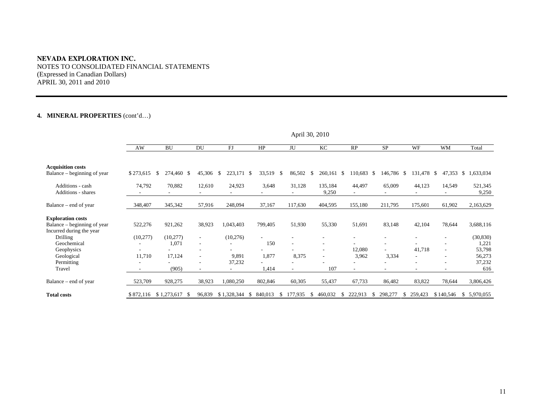#### **NEVADA EXPLORATION INC.**

NOTES TO CONSOLIDATED FINANCIAL STATEMENTS (Expressed in Canadian Dollars) APRIL 30, 2011 and 2010

# **4. MINERAL PROPERTIES** (cont'd…)

|                                        |           |                   |                          |                    |               |               | $A$ phi $30, 2010$       |                    |               |                          |                            |                  |
|----------------------------------------|-----------|-------------------|--------------------------|--------------------|---------------|---------------|--------------------------|--------------------|---------------|--------------------------|----------------------------|------------------|
|                                        | AW        | <b>BU</b>         | DU                       | FJ                 | HP            | JU            | KC                       | RP                 | <b>SP</b>     | WF                       | <b>WM</b>                  | Total            |
|                                        |           |                   |                          |                    |               |               |                          |                    |               |                          |                            |                  |
| <b>Acquisition costs</b>               |           |                   |                          |                    |               |               |                          |                    |               |                          |                            |                  |
| Balance – beginning of year            | \$273,615 | 274,460 \$<br>-S  | 45,306                   | 223,171 \$<br>- \$ | 33,519        | 86,502<br>-S  | 260,161<br><sup>\$</sup> | 110,683 \$<br>- \$ | 146,786 \$    | 131,478                  | 47,353 \$<br><sup>\$</sup> | 1,633,034        |
| Additions - cash<br>Additions - shares | 74,792    | 70,882            | 12,610                   | 24,923             | 3,648         | 31,128        | 135,184<br>9,250         | 44,497             | 65,009        | 44,123                   | 14,549                     | 521,345<br>9,250 |
|                                        |           |                   |                          |                    |               |               |                          |                    |               |                          |                            |                  |
| Balance – end of year                  | 348,407   | 345,342           | 57,916                   | 248,094            | 37,167        | 117,630       | 404,595                  | 155,180            | 211,795       | 175,601                  | 61,902                     | 2,163,629        |
| <b>Exploration costs</b>               |           |                   |                          |                    |               |               |                          |                    |               |                          |                            |                  |
| Balance – beginning of year            | 522,276   | 921,262           | 38,923                   | 1,043,403          | 799,405       | 51,930        | 55,330                   | 51,691             | 83,148        | 42,104                   | 78,644                     | 3,688,116        |
| Incurred during the year               |           |                   |                          |                    |               |               |                          |                    |               |                          |                            |                  |
| <b>Drilling</b>                        | (10, 277) | (10,277)          | $\overline{\phantom{a}}$ | (10,276)           |               |               |                          |                    |               |                          |                            | (30, 830)        |
| Geochemical                            |           | 1,071             | $\overline{\phantom{a}}$ |                    | 150           | ۰             |                          |                    |               |                          |                            | 1,221            |
| Geophysics                             |           |                   |                          |                    |               |               |                          | 12,080             |               | 41,718                   |                            | 53,798           |
| Geological                             | 11,710    | 17,124            | $\overline{\phantom{a}}$ | 9,891              | 1,877         | 8,375         | $\overline{\phantom{a}}$ | 3,962              | 3,334         | $\overline{\phantom{a}}$ |                            | 56,273           |
| Permitting                             |           |                   |                          | 37,232             |               |               |                          |                    |               |                          |                            | 37,232           |
| Travel                                 |           | (905)             | ٠                        |                    | 1,414         |               | 107                      |                    |               | ۰.                       |                            | 616              |
| Balance – end of year                  | 523,709   | 928,275           | 38,923                   | 1,080,250          | 802,846       | 60,305        | 55,437                   | 67,733             | 86,482        | 83,822                   | 78,644                     | 3,806,426        |
| <b>Total costs</b>                     | \$872,116 | \$1,273,617<br>-S | 96,839                   | \$1,328,344        | 840,013<br>-S | 177,935<br>S. | 460,032<br>S             | 222,913<br>S       | 298,277<br>S. | 259,423<br>\$            | \$140,546                  | \$ 5,970,055     |

April 30, 2010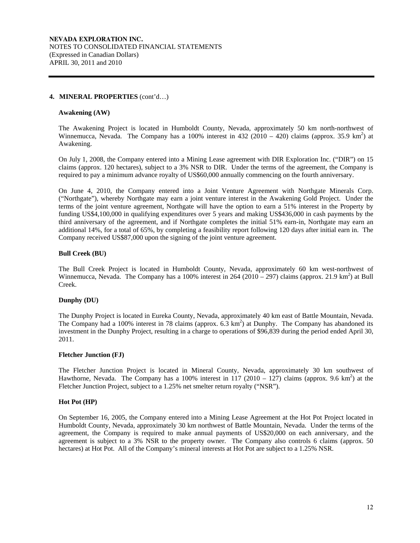#### **4. MINERAL PROPERTIES** (cont'd…)

#### **Awakening (AW)**

The Awakening Project is located in Humboldt County, Nevada, approximately 50 km north-northwest of Winnemucca, Nevada. The Company has a 100% interest in  $432(2010 - 420)$  claims (approx. 35.9 km<sup>2</sup>) at Awakening.

On July 1, 2008, the Company entered into a Mining Lease agreement with DIR Exploration Inc. ("DIR") on 15 claims (approx. 120 hectares), subject to a 3% NSR to DIR. Under the terms of the agreement, the Company is required to pay a minimum advance royalty of US\$60,000 annually commencing on the fourth anniversary.

On June 4, 2010, the Company entered into a Joint Venture Agreement with Northgate Minerals Corp. ("Northgate"), whereby Northgate may earn a joint venture interest in the Awakening Gold Project. Under the terms of the joint venture agreement, Northgate will have the option to earn a 51% interest in the Property by funding US\$4,100,000 in qualifying expenditures over 5 years and making US\$436,000 in cash payments by the third anniversary of the agreement, and if Northgate completes the initial 51% earn-in, Northgate may earn an additional 14%, for a total of 65%, by completing a feasibility report following 120 days after initial earn in. The Company received US\$87,000 upon the signing of the joint venture agreement.

#### **Bull Creek (BU)**

The Bull Creek Project is located in Humboldt County, Nevada, approximately 60 km west-northwest of Winnemucca, Nevada. The Company has a 100% interest in  $264 (2010 - 297)$  claims (approx. 21.9 km<sup>2</sup>) at Bull Creek.

# **Dunphy (DU)**

The Dunphy Project is located in Eureka County, Nevada, approximately 40 km east of Battle Mountain, Nevada. The Company had a 100% interest in 78 claims (approx.  $6.\overline{3}$  km<sup>2</sup>) at Dunphy. The Company has abandoned its investment in the Dunphy Project, resulting in a charge to operations of \$96,839 during the period ended April 30, 2011.

### **Fletcher Junction (FJ)**

The Fletcher Junction Project is located in Mineral County, Nevada, approximately 30 km southwest of Hawthorne, Nevada. The Company has a 100% interest in 117 (2010 – 127) claims (approx. 9.6 km<sup>2</sup>) at the Fletcher Junction Project, subject to a 1.25% net smelter return royalty ("NSR").

#### **Hot Pot (HP)**

On September 16, 2005, the Company entered into a Mining Lease Agreement at the Hot Pot Project located in Humboldt County, Nevada, approximately 30 km northwest of Battle Mountain, Nevada. Under the terms of the agreement, the Company is required to make annual payments of US\$20,000 on each anniversary, and the agreement is subject to a 3% NSR to the property owner. The Company also controls 6 claims (approx. 50 hectares) at Hot Pot. All of the Company's mineral interests at Hot Pot are subject to a 1.25% NSR.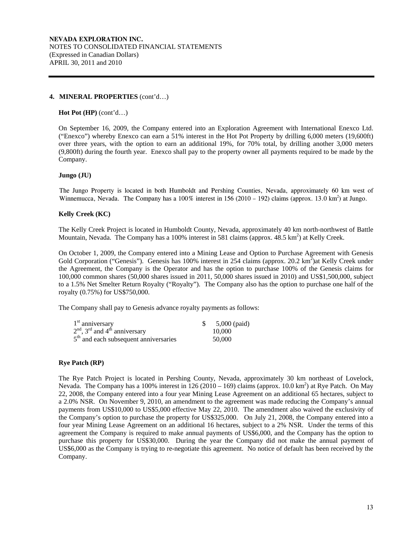#### **4. MINERAL PROPERTIES** (cont'd…)

#### **Hot Pot (HP)** (cont'd…)

On September 16, 2009, the Company entered into an Exploration Agreement with International Enexco Ltd. ("Enexco") whereby Enexco can earn a 51% interest in the Hot Pot Property by drilling 6,000 meters (19,600ft) over three years, with the option to earn an additional 19%, for 70% total, by drilling another 3,000 meters (9,800ft) during the fourth year. Enexco shall pay to the property owner all payments required to be made by the Company.

#### **Jungo (JU)**

The Jungo Property is located in both Humboldt and Pershing Counties, Nevada, approximately 60 km west of Winnemucca, Nevada. The Company has a  $100\%$  interest in 156 (2010 – 192) claims (approx. 13.0 km<sup>2</sup>) at Jungo.

## **Kelly Creek (KC)**

The Kelly Creek Project is located in Humboldt County, Nevada, approximately 40 km north-northwest of Battle Mountain, Nevada. The Company has a 100% interest in 581 claims (approx. 48.5 km<sup>2</sup>) at Kelly Creek.

On October 1, 2009, the Company entered into a Mining Lease and Option to Purchase Agreement with Genesis Gold Corporation ("Genesis"). Genesis has 100% interest in 254 claims (approx. 20.2 km<sup>2</sup>) at Kelly Creek under the Agreement, the Company is the Operator and has the option to purchase 100% of the Genesis claims for 100,000 common shares (50,000 shares issued in 2011, 50,000 shares issued in 2010) and US\$1,500,000, subject to a 1.5% Net Smelter Return Royalty ("Royalty"). The Company also has the option to purchase one half of the royalty (0.75%) for US\$750,000.

The Company shall pay to Genesis advance royalty payments as follows:

| $1st$ anniversary                                       | $5,000$ (paid) |
|---------------------------------------------------------|----------------|
| $2nd$ , 3 <sup>rd</sup> and 4 <sup>th</sup> anniversary | 10,000         |
| $5th$ and each subsequent anniversaries                 | 50,000         |

## **Rye Patch (RP)**

The Rye Patch Project is located in Pershing County, Nevada, approximately 30 km northeast of Lovelock, Nevada. The Company has a 100% interest in  $126(2010 - 169)$  claims (approx. 10.0 km<sup>2</sup>) at Rye Patch. On May 22, 2008, the Company entered into a four year Mining Lease Agreement on an additional 65 hectares, subject to a 2.0% NSR. On November 9, 2010, an amendment to the agreement was made reducing the Company's annual payments from US\$10,000 to US\$5,000 effective May 22, 2010. The amendment also waived the exclusivity of the Company's option to purchase the property for US\$325,000. On July 21, 2008, the Company entered into a four year Mining Lease Agreement on an additional 16 hectares, subject to a 2% NSR. Under the terms of this agreement the Company is required to make annual payments of US\$6,000, and the Company has the option to purchase this property for US\$30,000. During the year the Company did not make the annual payment of US\$6,000 as the Company is trying to re-negotiate this agreement. No notice of default has been received by the Company.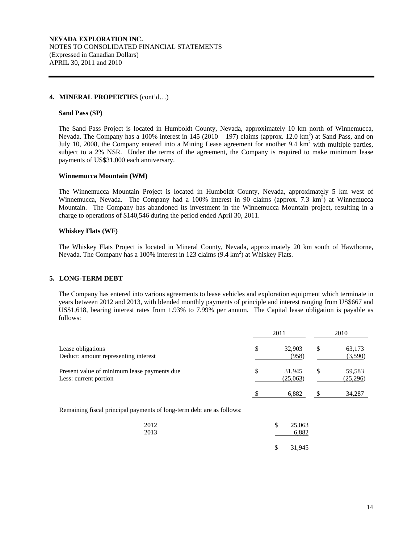#### **4. MINERAL PROPERTIES** (cont'd…)

#### **Sand Pass (SP)**

The Sand Pass Project is located in Humboldt County, Nevada, approximately 10 km north of Winnemucca, Nevada. The Company has a 100% interest in  $145$  (2010 – 197) claims (approx. 12.0 km<sup>2</sup>) at Sand Pass, and on July 10, 2008, the Company entered into a Mining Lease agreement for another 9.4  $km^2$  with multiple parties, subject to a 2% NSR. Under the terms of the agreement, the Company is required to make minimum lease payments of US\$31,000 each anniversary.

#### **Winnemucca Mountain (WM)**

The Winnemucca Mountain Project is located in Humboldt County, Nevada, approximately 5 km west of Winnemucca, Nevada. The Company had a 100% interest in 90 claims (approx. 7.3 km<sup>2</sup>) at Winnemucca Mountain. The Company has abandoned its investment in the Winnemucca Mountain project, resulting in a charge to operations of \$140,546 during the period ended April 30, 2011.

#### **Whiskey Flats (WF)**

The Whiskey Flats Project is located in Mineral County, Nevada, approximately 20 km south of Hawthorne, Nevada. The Company has a 100% interest in 123 claims (9.4 km<sup>2</sup>) at Whiskey Flats.

#### **5. LONG-TERM DEBT**

 The Company has entered into various agreements to lease vehicles and exploration equipment which terminate in years between 2012 and 2013, with blended monthly payments of principle and interest ranging from US\$667 and US\$1,618, bearing interest rates from 1.93% to 7.99% per annum. The Capital lease obligation is payable as follows:

|                                                                       | 2011                     |    | 2010               |
|-----------------------------------------------------------------------|--------------------------|----|--------------------|
| Lease obligations<br>Deduct: amount representing interest             | \$<br>32,903<br>(958)    | \$ | 63,173<br>(3,590)  |
| Present value of minimum lease payments due<br>Less: current portion  | \$<br>31.945<br>(25,063) | \$ | 59,583<br>(25,296) |
|                                                                       | 6,882                    | S  | 34,287             |
| Remaining fiscal principal payments of long-term debt are as follows: |                          |    |                    |

| 2012<br>2013 | \$ | 25,063<br>6.882 |
|--------------|----|-----------------|
|              |    | 31,945          |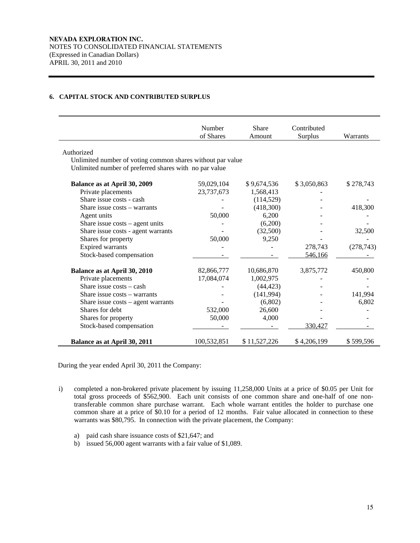# **6. CAPITAL STOCK AND CONTRIBUTED SURPLUS**

|                                                            | Number<br>of Shares | Share<br>Amount | Contributed<br>Surplus | Warrants   |
|------------------------------------------------------------|---------------------|-----------------|------------------------|------------|
|                                                            |                     |                 |                        |            |
| Authorized                                                 |                     |                 |                        |            |
| Unlimited number of voting common shares without par value |                     |                 |                        |            |
| Unlimited number of preferred shares with no par value     |                     |                 |                        |            |
| <b>Balance as at April 30, 2009</b>                        | 59,029,104          | \$9,674,536     | \$3,050,863            | \$278,743  |
| Private placements                                         | 23,737,673          | 1,568,413       |                        |            |
| Share issue costs - cash                                   |                     | (114, 529)      |                        |            |
| Share issue costs - warrants                               |                     | (418,300)       |                        | 418,300    |
| Agent units                                                | 50,000              | 6,200           |                        |            |
| Share issue $costs - agent$ units                          |                     | (6,200)         |                        |            |
| Share issue costs - agent warrants                         |                     | (32,500)        |                        | 32,500     |
| Shares for property                                        | 50,000              | 9,250           |                        |            |
| Expired warrants                                           |                     |                 | 278,743                | (278, 743) |
| Stock-based compensation                                   |                     |                 | 546,166                |            |
| <b>Balance as at April 30, 2010</b>                        | 82,866,777          | 10,686,870      | 3,875,772              | 450,800    |
| Private placements                                         | 17,084,074          | 1,002,975       |                        |            |
| Share issue costs - cash                                   |                     | (44, 423)       |                        |            |
| Share issue costs - warrants                               |                     | (141, 994)      |                        | 141,994    |
| Share issue $costs - agent warrants$                       |                     | (6,802)         |                        | 6,802      |
| Shares for debt                                            | 532,000             | 26,600          |                        |            |
| Shares for property                                        | 50,000              | 4,000           |                        |            |
| Stock-based compensation                                   |                     |                 | 330,427                |            |
| Balance as at April 30, 2011                               | 100,532,851         | \$11,527,226    | \$4,206,199            | \$599,596  |

During the year ended April 30, 2011 the Company:

- i) completed a non-brokered private placement by issuing 11,258,000 Units at a price of \$0.05 per Unit for total gross proceeds of \$562,900. Each unit consists of one common share and one-half of one nontransferable common share purchase warrant. Each whole warrant entitles the holder to purchase one common share at a price of \$0.10 for a period of 12 months. Fair value allocated in connection to these warrants was \$80,795. In connection with the private placement, the Company:
	- a) paid cash share issuance costs of \$21,647; and
	- b) issued 56,000 agent warrants with a fair value of \$1,089.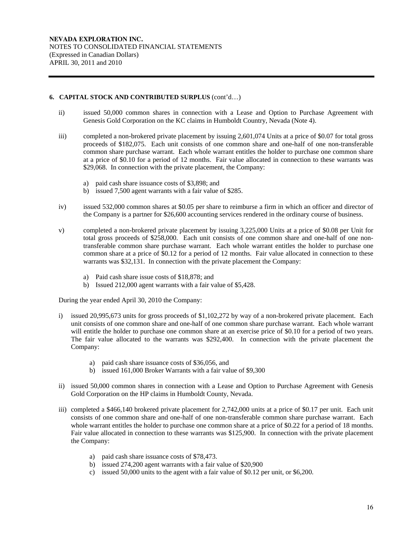# **6. CAPITAL STOCK AND CONTRIBUTED SURPLUS** (cont'd…)

- ii) issued 50,000 common shares in connection with a Lease and Option to Purchase Agreement with Genesis Gold Corporation on the KC claims in Humboldt Country, Nevada (Note 4).
- iii) completed a non-brokered private placement by issuing 2,601,074 Units at a price of \$0.07 for total gross proceeds of \$182,075. Each unit consists of one common share and one-half of one non-transferable common share purchase warrant. Each whole warrant entitles the holder to purchase one common share at a price of \$0.10 for a period of 12 months. Fair value allocated in connection to these warrants was \$29,068. In connection with the private placement, the Company:
	- a) paid cash share issuance costs of \$3,898; and
	- b) issued 7,500 agent warrants with a fair value of \$285.
- iv) issued 532,000 common shares at \$0.05 per share to reimburse a firm in which an officer and director of the Company is a partner for \$26,600 accounting services rendered in the ordinary course of business.
- v) completed a non-brokered private placement by issuing 3,225,000 Units at a price of \$0.08 per Unit for total gross proceeds of \$258,000. Each unit consists of one common share and one-half of one nontransferable common share purchase warrant. Each whole warrant entitles the holder to purchase one common share at a price of \$0.12 for a period of 12 months. Fair value allocated in connection to these warrants was \$32,131. In connection with the private placement the Company:
	- a) Paid cash share issue costs of \$18,878; and
	- b) Issued 212,000 agent warrants with a fair value of \$5,428.

During the year ended April 30, 2010 the Company:

- i) issued 20,995,673 units for gross proceeds of \$1,102,272 by way of a non-brokered private placement. Each unit consists of one common share and one-half of one common share purchase warrant. Each whole warrant will entitle the holder to purchase one common share at an exercise price of \$0.10 for a period of two years. The fair value allocated to the warrants was \$292,400. In connection with the private placement the Company:
	- a) paid cash share issuance costs of \$36,056, and
	- b) issued 161,000 Broker Warrants with a fair value of \$9,300
- ii) issued 50,000 common shares in connection with a Lease and Option to Purchase Agreement with Genesis Gold Corporation on the HP claims in Humboldt County, Nevada.
- iii) completed a \$466,140 brokered private placement for 2,742,000 units at a price of \$0.17 per unit. Each unit consists of one common share and one-half of one non-transferable common share purchase warrant. Each whole warrant entitles the holder to purchase one common share at a price of \$0.22 for a period of 18 months. Fair value allocated in connection to these warrants was \$125,900. In connection with the private placement the Company:
	- a) paid cash share issuance costs of \$78,473.
	- b) issued 274,200 agent warrants with a fair value of \$20,900
	- c) issued 50,000 units to the agent with a fair value of \$0.12 per unit, or \$6,200.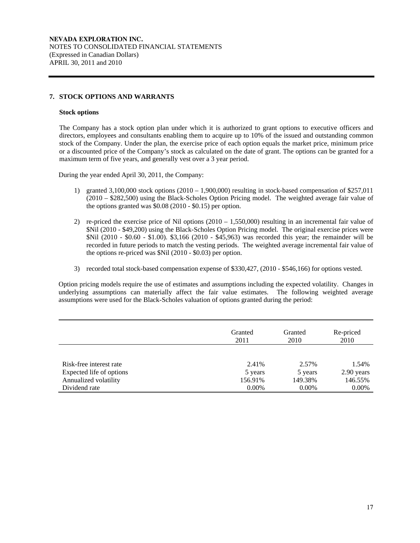# **7. STOCK OPTIONS AND WARRANTS**

#### **Stock options**

The Company has a stock option plan under which it is authorized to grant options to executive officers and directors, employees and consultants enabling them to acquire up to 10% of the issued and outstanding common stock of the Company. Under the plan, the exercise price of each option equals the market price, minimum price or a discounted price of the Company's stock as calculated on the date of grant. The options can be granted for a maximum term of five years, and generally vest over a 3 year period.

During the year ended April 30, 2011, the Company:

- 1) granted 3,100,000 stock options  $(2010 1,900,000)$  resulting in stock-based compensation of \$257,011 (2010 – \$282,500) using the Black-Scholes Option Pricing model. The weighted average fair value of the options granted was \$0.08 (2010 - \$0.15) per option.
- 2) re-priced the exercise price of Nil options  $(2010 1,550,000)$  resulting in an incremental fair value of \$Nil (2010 - \$49,200) using the Black-Scholes Option Pricing model. The original exercise prices were \$Nil (2010 - \$0.60 - \$1.00). \$3,166 (2010 - \$45,963) was recorded this year; the remainder will be recorded in future periods to match the vesting periods. The weighted average incremental fair value of the options re-priced was \$Nil (2010 - \$0.03) per option.
- 3) recorded total stock-based compensation expense of \$330,427, (2010 \$546,166) for options vested.

Option pricing models require the use of estimates and assumptions including the expected volatility. Changes in underlying assumptions can materially affect the fair value estimates. The following weighted average assumptions were used for the Black-Scholes valuation of options granted during the period:

|                          | Granted<br>2011 | Granted<br>2010 | Re-priced<br>2010   |
|--------------------------|-----------------|-----------------|---------------------|
| Risk-free interest rate  | 2.41%           | 2.57%           |                     |
| Expected life of options | 5 years         | 5 years         | 1.54%<br>2.90 years |
| Annualized volatility    | 156.91%         | 149.38%         | 146.55%             |
| Dividend rate            | $0.00\%$        | $0.00\%$        | $0.00\%$            |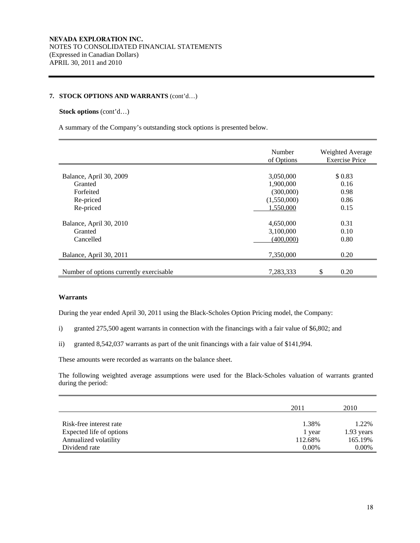#### **7. STOCK OPTIONS AND WARRANTS** (cont'd…)

#### **Stock options** (cont'd…)

A summary of the Company's outstanding stock options is presented below.

|                                         | Number<br>of Options | Weighted Average<br><b>Exercise Price</b> |
|-----------------------------------------|----------------------|-------------------------------------------|
|                                         |                      |                                           |
| Balance, April 30, 2009                 | 3,050,000            | \$0.83                                    |
| Granted                                 | 1,900,000            | 0.16                                      |
| Forfeited                               | (300,000)            | 0.98                                      |
| Re-priced                               | (1,550,000)          | 0.86                                      |
| Re-priced                               | 1,550,000            | 0.15                                      |
| Balance, April 30, 2010                 | 4,650,000            | 0.31                                      |
| Granted                                 | 3,100,000            | 0.10                                      |
| Cancelled                               | (400,000)            | 0.80                                      |
| Balance, April 30, 2011                 | 7,350,000            | 0.20                                      |
| Number of options currently exercisable | 7.283.333            | \$<br>0.20                                |

### **Warrants**

During the year ended April 30, 2011 using the Black-Scholes Option Pricing model, the Company:

- i) granted 275,500 agent warrants in connection with the financings with a fair value of \$6,802; and
- ii) granted 8,542,037 warrants as part of the unit financings with a fair value of \$141,994.

These amounts were recorded as warrants on the balance sheet.

The following weighted average assumptions were used for the Black-Scholes valuation of warrants granted during the period:

|                          | 2011     | 2010       |
|--------------------------|----------|------------|
| Risk-free interest rate  | 1.38%    | 1.22%      |
| Expected life of options | 1 year   | 1.93 years |
| Annualized volatility    | 112.68%  | 165.19%    |
| Dividend rate            | $0.00\%$ | $0.00\%$   |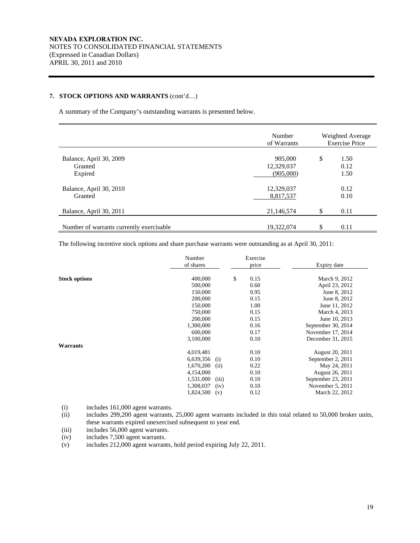# **7. STOCK OPTIONS AND WARRANTS** (cont'd…)

A summary of the Company's outstanding warrants is presented below.

|                                               | Number<br>of Warrants              | Weighted Average<br><b>Exercise Price</b> |                      |  |
|-----------------------------------------------|------------------------------------|-------------------------------------------|----------------------|--|
| Balance, April 30, 2009<br>Granted<br>Expired | 905,000<br>12,329,037<br>(905,000) | \$                                        | 1.50<br>0.12<br>1.50 |  |
| Balance, April 30, 2010<br>Granted            | 12,329,037<br>8,817,537            |                                           | 0.12<br>0.10         |  |
| Balance, April 30, 2011                       | 21,146,574                         |                                           | 0.11                 |  |
| Number of warrants currently exercisable      | 19,322,074                         | \$                                        | 0.11                 |  |

The following incentive stock options and share purchase warrants were outstanding as at April 30, 2011:

|                      | Number<br>of shares | Exercise<br>price | Expiry date        |
|----------------------|---------------------|-------------------|--------------------|
|                      |                     |                   |                    |
| <b>Stock options</b> | 400,000             | \$<br>0.15        | March 9, 2012      |
|                      | 500,000             | 0.60              | April 23, 2012     |
|                      | 150,000             | 0.95              | June 8, 2012       |
|                      | 200,000             | 0.15              | June 8, 2012       |
|                      | 150,000             | 1.00              | June 11, 2012      |
|                      | 750,000             | 0.15              | March 4, 2013      |
|                      | 200,000             | 0.15              | June 10, 2013      |
|                      | 1,300,000           | 0.16              | September 30, 2014 |
|                      | 600,000             | 0.17              | November 17, 2014  |
|                      | 3,100,000           | 0.10              | December 31, 2015  |
| <b>Warrants</b>      |                     |                   |                    |
|                      | 4,019,481           | 0.10              | August 20, 2011    |
|                      | 6,639,356<br>(i)    | 0.10              | September 2, 2011  |
|                      | 1,670,200<br>(ii)   | 0.22              | May 24, 2011       |
|                      | 4,154,000           | 0.10              | August 26, 2011    |
|                      | 1,531,000<br>(iii)  | 0.10              | September 23, 2011 |
|                      | 1,308,037<br>(iv)   | 0.10              | November 5, 2011   |
|                      | 1,824,500<br>(v)    | 0.12              | March 22, 2012     |

(i) includes 161,000 agent warrants.

(ii) includes 299,200 agent warrants, 25,000 agent warrants included in this total related to 50,000 broker units, these warrants expired unexercised subsequent to year end.

(iii) includes  $56,000$  agent warrants.<br>(iv) includes  $7,500$  agent warrants.

includes 7,500 agent warrants.

(v) includes 212,000 agent warrants, hold period expiring July 22, 2011.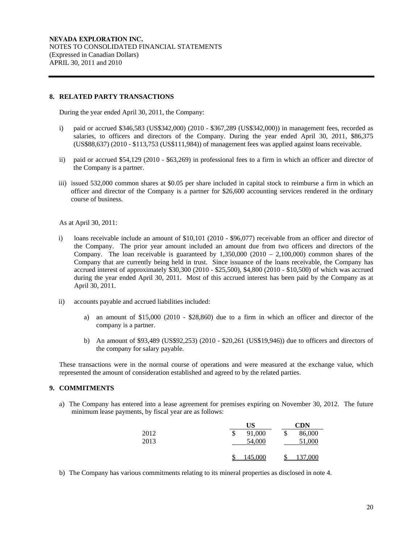#### **8. RELATED PARTY TRANSACTIONS**

During the year ended April 30, 2011, the Company:

- i) paid or accrued \$346,583 (US\$342,000) (2010 \$367,289 (US\$342,000)) in management fees, recorded as salaries, to officers and directors of the Company. During the year ended April 30, 2011, \$86,375 (US\$88,637) (2010 - \$113,753 (US\$111,984)) of management fees was applied against loans receivable.
- ii) paid or accrued \$54,129 (2010 \$63,269) in professional fees to a firm in which an officer and director of the Company is a partner.
- iii) issued 532,000 common shares at \$0.05 per share included in capital stock to reimburse a firm in which an officer and director of the Company is a partner for \$26,600 accounting services rendered in the ordinary course of business.

As at April 30, 2011:

- i) loans receivable include an amount of \$10,101 (2010 \$96,077) receivable from an officer and director of the Company. The prior year amount included an amount due from two officers and directors of the Company. The loan receivable is guaranteed by  $1,350,000$  (2010 – 2,100,000) common shares of the Company that are currently being held in trust. Since issuance of the loans receivable, the Company has accrued interest of approximately \$30,300 (2010 - \$25,500), \$4,800 (2010 - \$10,500) of which was accrued during the year ended April 30, 2011. Most of this accrued interest has been paid by the Company as at April 30, 2011.
- ii) accounts payable and accrued liabilities included:
	- a) an amount of \$15,000 (2010 \$28,860) due to a firm in which an officer and director of the company is a partner.
	- b) An amount of \$93,489 (US\$92,253) (2010 \$20,261 (US\$19,946)) due to officers and directors of the company for salary payable.

These transactions were in the normal course of operations and were measured at the exchange value, which represented the amount of consideration established and agreed to by the related parties.

# **9. COMMITMENTS**

a) The Company has entered into a lease agreement for premises expiring on November 30, 2012. The future minimum lease payments, by fiscal year are as follows:

|              | US                     | CDN                    |
|--------------|------------------------|------------------------|
| 2012<br>2013 | 91,000<br>\$<br>54,000 | \$<br>86,000<br>51,000 |
|              | 145,000                | .000.                  |

b) The Company has various commitments relating to its mineral properties as disclosed in note 4.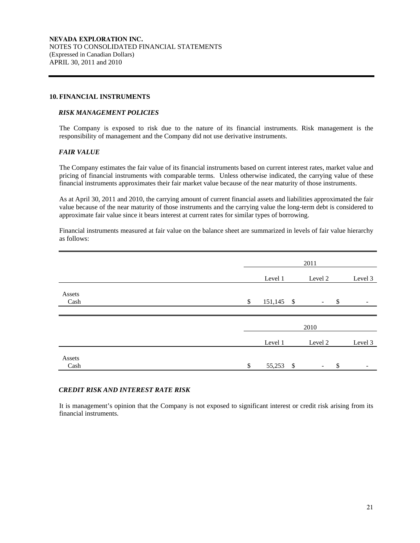#### **10. FINANCIAL INSTRUMENTS**

#### *RISK MANAGEMENT POLICIES*

The Company is exposed to risk due to the nature of its financial instruments. Risk management is the responsibility of management and the Company did not use derivative instruments.

### *FAIR VALUE*

The Company estimates the fair value of its financial instruments based on current interest rates, market value and pricing of financial instruments with comparable terms. Unless otherwise indicated, the carrying value of these financial instruments approximates their fair market value because of the near maturity of those instruments.

As at April 30, 2011 and 2010, the carrying amount of current financial assets and liabilities approximated the fair value because of the near maturity of those instruments and the carrying value the long-term debt is considered to approximate fair value since it bears interest at current rates for similar types of borrowing.

Financial instruments measured at fair value on the balance sheet are summarized in levels of fair value hierarchy as follows:

|                |               | 2011       |  |                                |         |
|----------------|---------------|------------|--|--------------------------------|---------|
|                |               | Level 1    |  | Level 2                        | Level 3 |
| Assets<br>Cash | $\mathcal{S}$ | 151,145 \$ |  | $\mathcal{S}$                  | -       |
|                |               |            |  |                                |         |
|                |               |            |  | 2010                           |         |
|                |               | Level 1    |  | Level 2                        | Level 3 |
| Assets<br>Cash | \$            | 55,253 \$  |  | \$<br>$\overline{\phantom{a}}$ |         |

### *CREDIT RISK AND INTEREST RATE RISK*

It is management's opinion that the Company is not exposed to significant interest or credit risk arising from its financial instruments.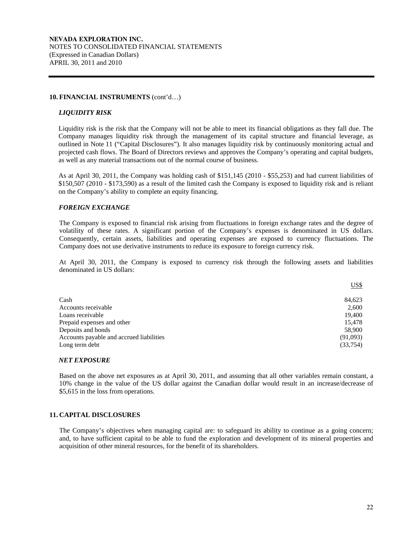#### **10. FINANCIAL INSTRUMENTS** (cont'd…)

#### *LIQUIDITY RISK*

Liquidity risk is the risk that the Company will not be able to meet its financial obligations as they fall due. The Company manages liquidity risk through the management of its capital structure and financial leverage, as outlined in Note 11 ("Capital Disclosures"). It also manages liquidity risk by continuously monitoring actual and projected cash flows. The Board of Directors reviews and approves the Company's operating and capital budgets, as well as any material transactions out of the normal course of business.

As at April 30, 2011, the Company was holding cash of \$151,145 (2010 - \$55,253) and had current liabilities of \$150,507 (2010 - \$173,590) as a result of the limited cash the Company is exposed to liquidity risk and is reliant on the Company's ability to complete an equity financing.

## *FOREIGN EXCHANGE*

The Company is exposed to financial risk arising from fluctuations in foreign exchange rates and the degree of volatility of these rates. A significant portion of the Company's expenses is denominated in US dollars. Consequently, certain assets, liabilities and operating expenses are exposed to currency fluctuations. The Company does not use derivative instruments to reduce its exposure to foreign currency risk.

At April 30, 2011, the Company is exposed to currency risk through the following assets and liabilities denominated in US dollars:

|                                          | US\$      |
|------------------------------------------|-----------|
|                                          |           |
| Cash                                     | 84,623    |
| Accounts receivable                      | 2,600     |
| Loans receivable                         | 19,400    |
| Prepaid expenses and other               | 15,478    |
| Deposits and bonds                       | 58,900    |
| Accounts payable and accrued liabilities | (91,093)  |
| Long term debt                           | (33, 754) |

#### *NET EXPOSURE*

Based on the above net exposures as at April 30, 2011, and assuming that all other variables remain constant, a 10% change in the value of the US dollar against the Canadian dollar would result in an increase/decrease of \$5,615 in the loss from operations.

# **11. CAPITAL DISCLOSURES**

The Company's objectives when managing capital are: to safeguard its ability to continue as a going concern; and, to have sufficient capital to be able to fund the exploration and development of its mineral properties and acquisition of other mineral resources, for the benefit of its shareholders.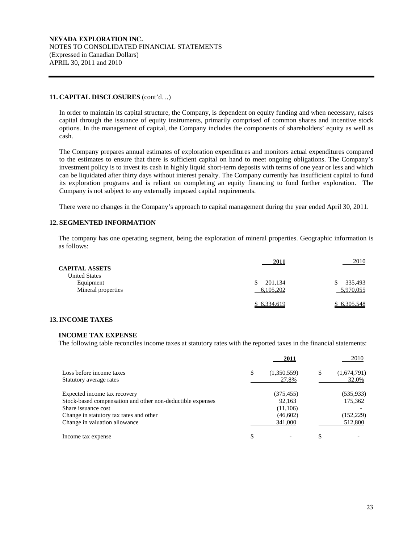#### **11. CAPITAL DISCLOSURES** (cont'd…)

In order to maintain its capital structure, the Company, is dependent on equity funding and when necessary, raises capital through the issuance of equity instruments, primarily comprised of common shares and incentive stock options. In the management of capital, the Company includes the components of shareholders' equity as well as cash.

The Company prepares annual estimates of exploration expenditures and monitors actual expenditures compared to the estimates to ensure that there is sufficient capital on hand to meet ongoing obligations. The Company's investment policy is to invest its cash in highly liquid short-term deposits with terms of one year or less and which can be liquidated after thirty days without interest penalty. The Company currently has insufficient capital to fund its exploration programs and is reliant on completing an equity financing to fund further exploration. The Company is not subject to any externally imposed capital requirements.

There were no changes in the Company's approach to capital management during the year ended April 30, 2011.

## **12. SEGMENTED INFORMATION**

The company has one operating segment, being the exploration of mineral properties. Geographic information is as follows:

|                       | 2011          | 2010        |
|-----------------------|---------------|-------------|
| <b>CAPITAL ASSETS</b> |               |             |
| <b>United States</b>  |               |             |
| Equipment             | 201,134<br>\$ | 335,493     |
| Mineral properties    | 6,105,202     | 5,970,055   |
|                       |               |             |
|                       | \$ 6,334,619  | \$6,305,548 |

## **13. INCOME TAXES**

#### **INCOME TAX EXPENSE**

The following table reconciles income taxes at statutory rates with the reported taxes in the financial statements:

|                                                            |   | 2011        |   | 2010        |
|------------------------------------------------------------|---|-------------|---|-------------|
| Loss before income taxes                                   | S | (1,350,559) | S | (1,674,791) |
| Statutory average rates                                    |   | 27.8%       |   | 32.0%       |
| Expected income tax recovery                               |   | (375, 455)  |   | (535, 933)  |
| Stock-based compensation and other non-deductible expenses |   | 92,163      |   | 175,362     |
| Share issuance cost                                        |   | (11,106)    |   |             |
| Change in statutory tax rates and other                    |   | (46,602)    |   | (152, 229)  |
| Change in valuation allowance                              |   | 341,000     |   | 512,800     |
| Income tax expense                                         |   |             |   |             |